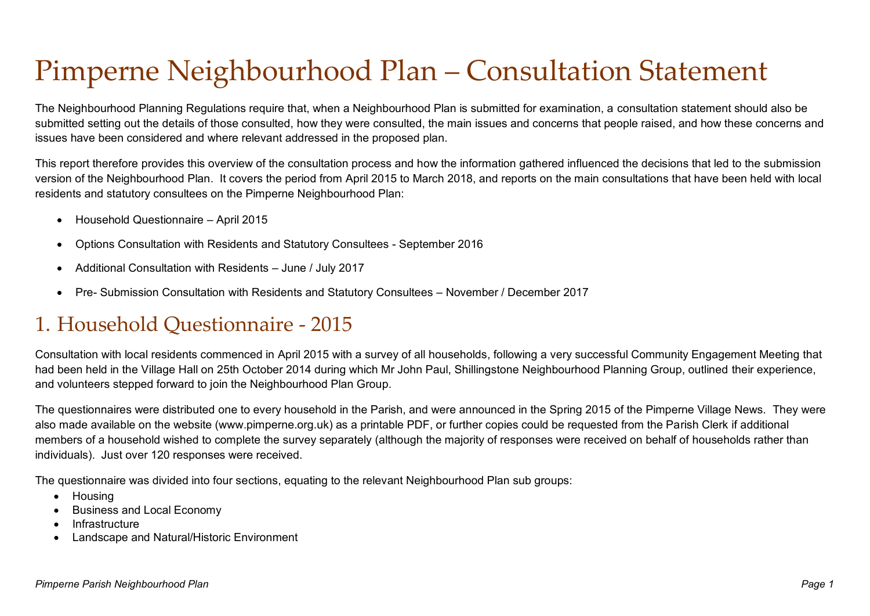# Pimperne Neighbourhood Plan – Consultation Statement

The Neighbourhood Planning Regulations require that, when a Neighbourhood Plan is submitted for examination, a consultation statement should also be submitted setting out the details of those consulted, how they were consulted, the main issues and concerns that people raised, and how these concerns and issues have been considered and where relevant addressed in the proposed plan.

This report therefore provides this overview of the consultation process and how the information gathered influenced the decisions that led to the submission version of the Neighbourhood Plan. It covers the period from April 2015 to March 2018, and reports on the main consultations that have been held with local residents and statutory consultees on the Pimperne Neighbourhood Plan:

- Household Questionnaire April 2015
- Options Consultation with Residents and Statutory Consultees September 2016
- Additional Consultation with Residents June / July 2017
- Pre- Submission Consultation with Residents and Statutory Consultees November / December 2017

### 1. Household Questionnaire - 2015

Consultation with local residents commenced in April 2015 with a survey of all households, following a very successful Community Engagement Meeting that had been held in the Village Hall on 25th October 2014 during which Mr John Paul, Shillingstone Neighbourhood Planning Group, outlined their experience, and volunteers stepped forward to join the Neighbourhood Plan Group.

The questionnaires were distributed one to every household in the Parish, and were announced in the Spring 2015 of the Pimperne Village News. They were also made available on the website (www.pimperne.org.uk) as a printable PDF, or further copies could be requested from the Parish Clerk if additional members of a household wished to complete the survey separately (although the majority of responses were received on behalf of households rather than individuals). Just over 120 responses were received.

The questionnaire was divided into four sections, equating to the relevant Neighbourhood Plan sub groups:

- Housing
- Business and Local Economy
- Infrastructure
- Landscape and Natural/Historic Environment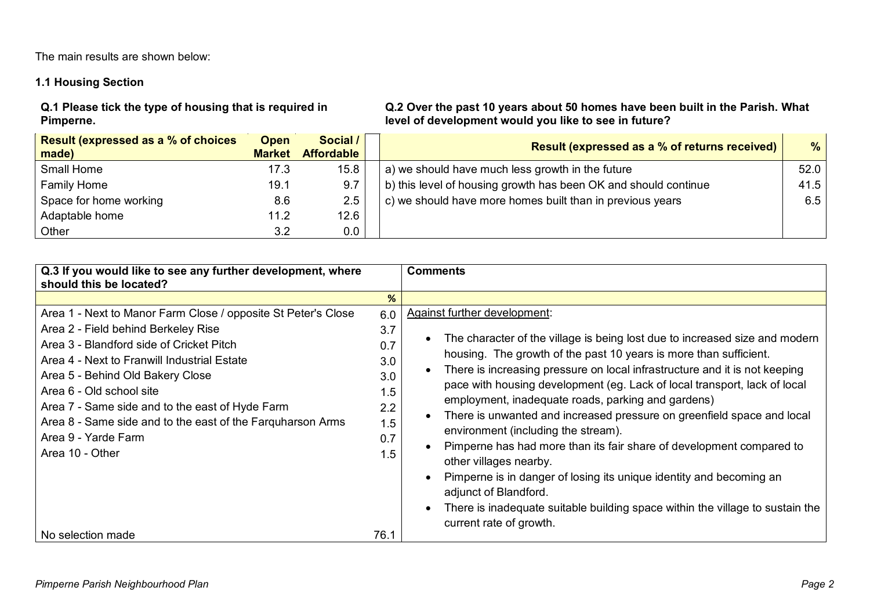The main results are shown below:

#### **1.1 Housing Section**

**Q.1 Please tick the type of housing that is required in Pimperne.**

**Q.2 Over the past 10 years about 50 homes have been built in the Parish. What level of development would you like to see in future?**

| <b>Result (expressed as a % of choices</b><br>made) | <b>Open</b><br><b>Market</b> | Social /<br><b>Affordable</b> | <b>Result (expressed as a % of returns received)</b>            | %    |
|-----------------------------------------------------|------------------------------|-------------------------------|-----------------------------------------------------------------|------|
| Small Home                                          | 17.3                         | 15.8                          | a) we should have much less growth in the future                | 52.0 |
| <b>Family Home</b>                                  | 19.1                         | 9.7                           | b) this level of housing growth has been OK and should continue | 41.5 |
| Space for home working                              | 8.6                          | 2.5                           | c) we should have more homes built than in previous years       | 6.5  |
| Adaptable home                                      | 11.2                         | 12.6                          |                                                                 |      |
| Other                                               | 3.2                          | 0.0                           |                                                                 |      |

| Q.3 If you would like to see any further development, where<br>should this be located?                                                                                                                                                                                                                                                                                                                                     |                                                                    | <b>Comments</b>                                                                                                                                                                                                                                                                                                                                                                                                                                                                                                                                                                                                                                                                                                                                                                                                                  |
|----------------------------------------------------------------------------------------------------------------------------------------------------------------------------------------------------------------------------------------------------------------------------------------------------------------------------------------------------------------------------------------------------------------------------|--------------------------------------------------------------------|----------------------------------------------------------------------------------------------------------------------------------------------------------------------------------------------------------------------------------------------------------------------------------------------------------------------------------------------------------------------------------------------------------------------------------------------------------------------------------------------------------------------------------------------------------------------------------------------------------------------------------------------------------------------------------------------------------------------------------------------------------------------------------------------------------------------------------|
|                                                                                                                                                                                                                                                                                                                                                                                                                            | %                                                                  |                                                                                                                                                                                                                                                                                                                                                                                                                                                                                                                                                                                                                                                                                                                                                                                                                                  |
| Area 1 - Next to Manor Farm Close / opposite St Peter's Close<br>Area 2 - Field behind Berkeley Rise<br>Area 3 - Blandford side of Cricket Pitch<br>Area 4 - Next to Franwill Industrial Estate<br>Area 5 - Behind Old Bakery Close<br>Area 6 - Old school site<br>Area 7 - Same side and to the east of Hyde Farm<br>Area 8 - Same side and to the east of the Farguharson Arms<br>Area 9 - Yarde Farm<br>Area 10 - Other | 6.0<br>3.7<br>0.7<br>3.0<br>3.0<br>1.5<br>2.2<br>1.5<br>0.7<br>1.5 | Against further development:<br>The character of the village is being lost due to increased size and modern<br>housing. The growth of the past 10 years is more than sufficient.<br>There is increasing pressure on local infrastructure and it is not keeping<br>pace with housing development (eg. Lack of local transport, lack of local<br>employment, inadequate roads, parking and gardens)<br>There is unwanted and increased pressure on greenfield space and local<br>environment (including the stream).<br>Pimperne has had more than its fair share of development compared to<br>other villages nearby.<br>Pimperne is in danger of losing its unique identity and becoming an<br>adjunct of Blandford.<br>There is inadequate suitable building space within the village to sustain the<br>current rate of growth. |
| No selection made                                                                                                                                                                                                                                                                                                                                                                                                          | 76.1                                                               |                                                                                                                                                                                                                                                                                                                                                                                                                                                                                                                                                                                                                                                                                                                                                                                                                                  |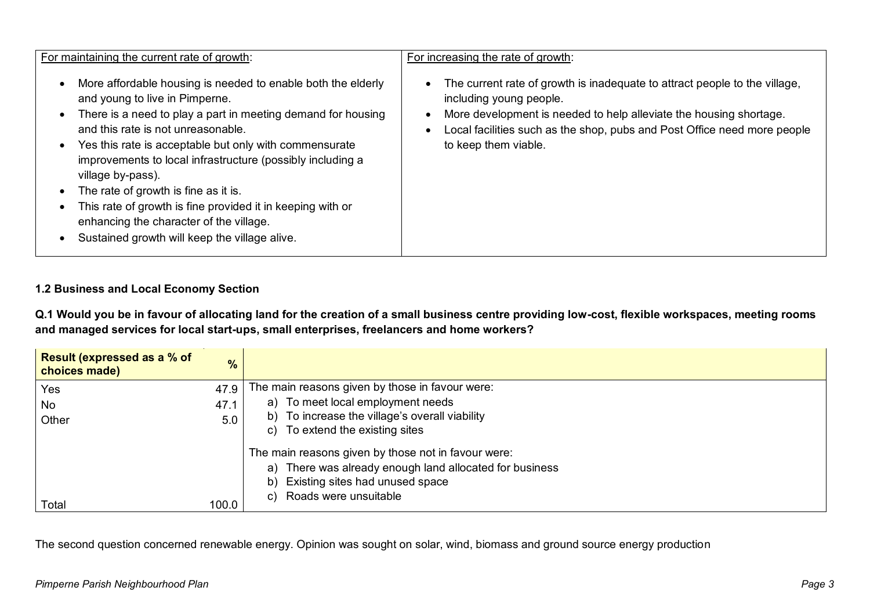| For maintaining the current rate of growth:                                                                                                                                                                                                                                                                                                                                                                                                                                                                                                                                                | For increasing the rate of growth:                                                                                                                                                                                                                                              |
|--------------------------------------------------------------------------------------------------------------------------------------------------------------------------------------------------------------------------------------------------------------------------------------------------------------------------------------------------------------------------------------------------------------------------------------------------------------------------------------------------------------------------------------------------------------------------------------------|---------------------------------------------------------------------------------------------------------------------------------------------------------------------------------------------------------------------------------------------------------------------------------|
| More affordable housing is needed to enable both the elderly<br>$\bullet$<br>and young to live in Pimperne.<br>There is a need to play a part in meeting demand for housing<br>$\bullet$<br>and this rate is not unreasonable.<br>Yes this rate is acceptable but only with commensurate<br>$\bullet$<br>improvements to local infrastructure (possibly including a<br>village by-pass).<br>The rate of growth is fine as it is.<br>This rate of growth is fine provided it in keeping with or<br>enhancing the character of the village.<br>Sustained growth will keep the village alive. | The current rate of growth is inadequate to attract people to the village,<br>including young people.<br>More development is needed to help alleviate the housing shortage.<br>Local facilities such as the shop, pubs and Post Office need more people<br>to keep them viable. |

#### **1.2 Business and Local Economy Section**

**Q.1 Would you be in favour of allocating land for the creation of a small business centre providing low-cost, flexible workspaces, meeting rooms and managed services for local start-ups, small enterprises, freelancers and home workers?** 

| Result (expressed as a % of<br>choices made) | $\frac{9}{6}$ |                                                            |
|----------------------------------------------|---------------|------------------------------------------------------------|
| Yes                                          | 47.9          | The main reasons given by those in favour were:            |
| No                                           | 47.1          | a) To meet local employment needs                          |
| Other                                        | 5.0           | b) To increase the village's overall viability             |
|                                              |               | To extend the existing sites<br>C)                         |
|                                              |               | The main reasons given by those not in favour were:        |
|                                              |               | There was already enough land allocated for business<br>a) |
|                                              |               | b) Existing sites had unused space                         |
|                                              |               | c) Roads were unsuitable                                   |
| Total                                        | 100.0         |                                                            |

The second question concerned renewable energy. Opinion was sought on solar, wind, biomass and ground source energy production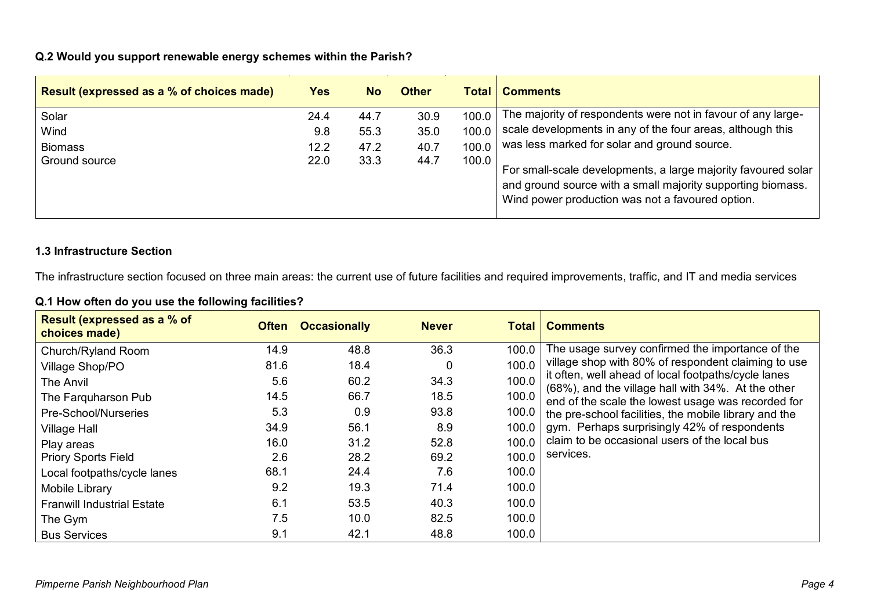#### **Q.2 Would you support renewable energy schemes within the Parish?**

| <b>Result (expressed as a % of choices made)</b> | Yes  | <b>No</b> | <b>Other</b> | <b>Total</b> | <b>Comments</b>                                                                                                                                                                  |
|--------------------------------------------------|------|-----------|--------------|--------------|----------------------------------------------------------------------------------------------------------------------------------------------------------------------------------|
| Solar                                            | 24.4 | 44.7      | 30.9         | 100.0        | The majority of respondents were not in favour of any large-                                                                                                                     |
| Wind                                             | 9.8  | 55.3      | 35.0         | 100.0        | scale developments in any of the four areas, although this                                                                                                                       |
| <b>Biomass</b>                                   | 12.2 | 47.2      | 40.7         | 100.0        | was less marked for solar and ground source.                                                                                                                                     |
| Ground source                                    | 22.0 | 33.3      | 44.7         | 100.0        | For small-scale developments, a large majority favoured solar<br>and ground source with a small majority supporting biomass.<br>Wind power production was not a favoured option. |

#### **1.3 Infrastructure Section**

The infrastructure section focused on three main areas: the current use of future facilities and required improvements, traffic, and IT and media services

#### **Q.1 How often do you use the following facilities?**

| <b>Result (expressed as a % of</b><br>choices made) | <b>Often</b> | <b>Occasionally</b> | <b>Never</b> | Total | <b>Comments</b>                                                                                           |
|-----------------------------------------------------|--------------|---------------------|--------------|-------|-----------------------------------------------------------------------------------------------------------|
| Church/Ryland Room                                  | 14.9         | 48.8                | 36.3         | 100.0 | The usage survey confirmed the importance of the                                                          |
| Village Shop/PO                                     | 81.6         | 18.4                |              | 100.0 | village shop with 80% of respondent claiming to use                                                       |
| <b>The Anvil</b>                                    | 5.6          | 60.2                | 34.3         | 100.0 | it often, well ahead of local footpaths/cycle lanes<br>(68%), and the village hall with 34%. At the other |
| The Farguharson Pub                                 | 14.5         | 66.7                | 18.5         | 100.0 | end of the scale the lowest usage was recorded for                                                        |
| Pre-School/Nurseries                                | 5.3          | 0.9                 | 93.8         | 100.0 | the pre-school facilities, the mobile library and the                                                     |
| <b>Village Hall</b>                                 | 34.9         | 56.1                | 8.9          | 100.0 | gym. Perhaps surprisingly 42% of respondents                                                              |
| Play areas                                          | 16.0         | 31.2                | 52.8         | 100.0 | claim to be occasional users of the local bus                                                             |
| <b>Priory Sports Field</b>                          | 2.6          | 28.2                | 69.2         | 100.0 | services.                                                                                                 |
| Local footpaths/cycle lanes                         | 68.1         | 24.4                | 7.6          | 100.0 |                                                                                                           |
| Mobile Library                                      | 9.2          | 19.3                | 71.4         | 100.0 |                                                                                                           |
| <b>Franwill Industrial Estate</b>                   | 6.1          | 53.5                | 40.3         | 100.0 |                                                                                                           |
| The Gym                                             | 7.5          | 10.0                | 82.5         | 100.0 |                                                                                                           |
| <b>Bus Services</b>                                 | 9.1          | 42.1                | 48.8         | 100.0 |                                                                                                           |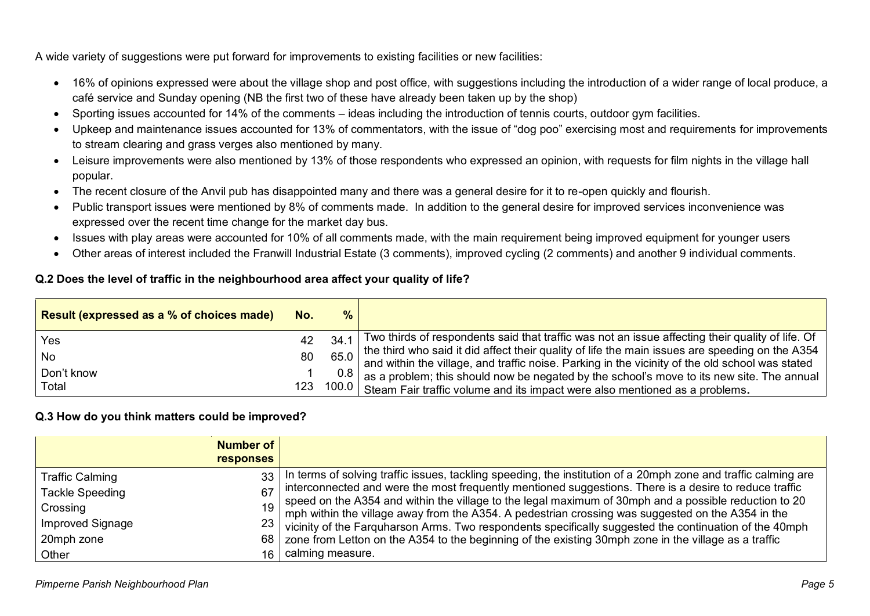A wide variety of suggestions were put forward for improvements to existing facilities or new facilities:

- 16% of opinions expressed were about the village shop and post office, with suggestions including the introduction of a wider range of local produce, a café service and Sunday opening (NB the first two of these have already been taken up by the shop)
- Sporting issues accounted for 14% of the comments ideas including the introduction of tennis courts, outdoor gym facilities.
- Upkeep and maintenance issues accounted for 13% of commentators, with the issue of "dog poo" exercising most and requirements for improvements to stream clearing and grass verges also mentioned by many.
- Leisure improvements were also mentioned by 13% of those respondents who expressed an opinion, with requests for film nights in the village hall popular.
- The recent closure of the Anvil pub has disappointed many and there was a general desire for it to re-open quickly and flourish.
- Public transport issues were mentioned by 8% of comments made. In addition to the general desire for improved services inconvenience was expressed over the recent time change for the market day bus.
- Issues with play areas were accounted for 10% of all comments made, with the main requirement being improved equipment for younger users
- Other areas of interest included the Franwill Industrial Estate (3 comments), improved cycling (2 comments) and another 9 individual comments.

#### **Q.2 Does the level of traffic in the neighbourhood area affect your quality of life?**

| Result (expressed as a % of choices made) | No. | %    |                                                                                                                                                                                                 |
|-------------------------------------------|-----|------|-------------------------------------------------------------------------------------------------------------------------------------------------------------------------------------------------|
| Yes                                       | 42  | 34   | Two thirds of respondents said that traffic was not an issue affecting their quality of life. Of                                                                                                |
| l No                                      | 80  | 65.0 | the third who said it did affect their quality of life the main issues are speeding on the A354 and within the village, and traffic noise. Parking in the vicinity of the old school was stated |
| Don't know                                |     |      | $0.8$ as a problem; this should now be negated by the school's move to its new site. The annual                                                                                                 |
| Total                                     |     |      | 123 100.0 Steam Fair traffic volume and its impact were also mentioned as a problems.                                                                                                           |

#### **Q.3 How do you think matters could be improved?**

| <b>Number of</b><br><b>responses</b> |                 |                                                                                                                                                                                                                                      |
|--------------------------------------|-----------------|--------------------------------------------------------------------------------------------------------------------------------------------------------------------------------------------------------------------------------------|
| <b>Traffic Calming</b>               | 33              | In terms of solving traffic issues, tackling speeding, the institution of a 20mph zone and traffic calming are                                                                                                                       |
| <b>Tackle Speeding</b>               | 67              |                                                                                                                                                                                                                                      |
| Crossing                             |                 |                                                                                                                                                                                                                                      |
| <b>Improved Signage</b>              | 23 <sup>1</sup> | interconnected and were the most frequently mentioned suggestions. There is a desire to reduce traffic<br>speed on the A354 and within the village to the legal maximum of 30mph and a possible reduction to 20<br>mph within the vi |
| 20mph zone                           |                 | 68   zone from Letton on the A354 to the beginning of the existing 30mph zone in the village as a traffic                                                                                                                            |
| Other                                | 16.             | calming measure.                                                                                                                                                                                                                     |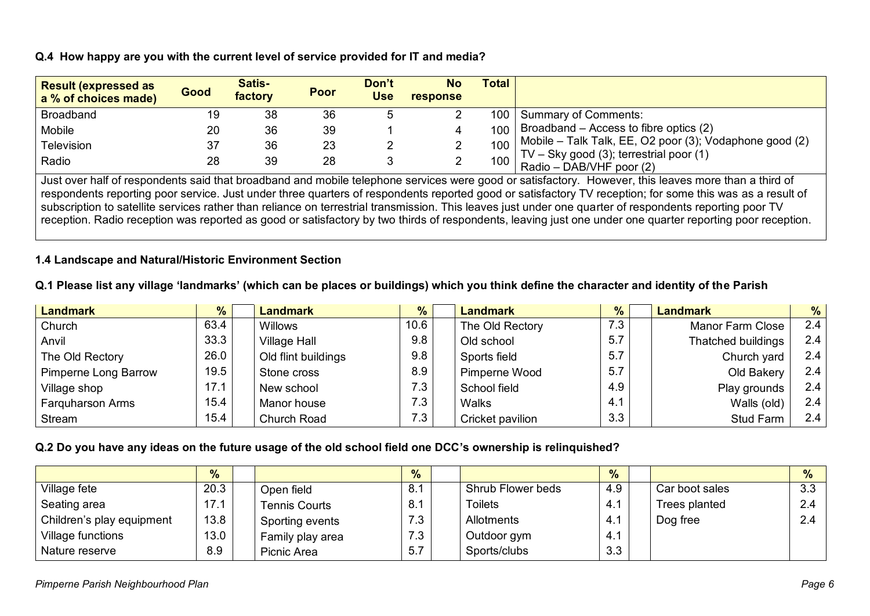#### **Q.4 How happy are you with the current level of service provided for IT and media?**

| <b>Result (expressed as</b><br>a % of choices made)                                                                                                                                                                                                                                                                                                                                                                                                                           | Good | Satis-<br>factory | <b>Poor</b> | Don't<br><b>Use</b> | <b>No</b><br>response | <b>Total</b>     |                                                                         |  |  |
|-------------------------------------------------------------------------------------------------------------------------------------------------------------------------------------------------------------------------------------------------------------------------------------------------------------------------------------------------------------------------------------------------------------------------------------------------------------------------------|------|-------------------|-------------|---------------------|-----------------------|------------------|-------------------------------------------------------------------------|--|--|
| <b>Broadband</b>                                                                                                                                                                                                                                                                                                                                                                                                                                                              | 19   | 38                | 36          |                     |                       | 100              | <b>Summary of Comments:</b>                                             |  |  |
| Mobile                                                                                                                                                                                                                                                                                                                                                                                                                                                                        | 20   | 36                | 39          |                     |                       | 100 <sub>1</sub> | Broadband – Access to fibre optics (2)                                  |  |  |
| Television                                                                                                                                                                                                                                                                                                                                                                                                                                                                    | 37   | 36                | 23          |                     |                       | 100              | Mobile - Talk Talk, EE, O2 poor (3); Vodaphone good (2)                 |  |  |
| Radio                                                                                                                                                                                                                                                                                                                                                                                                                                                                         | 28   | 39                | 28          |                     |                       |                  | TV - Sky good (3); terrestrial poor (1)<br>100 Radio - DAB/VHF poor (2) |  |  |
| Just over half of respondents said that broadband and mobile telephone services were good or satisfactory. However, this leaves more than a third of<br>respondents reporting poor service. Just under three quarters of respondents reported good or satisfactory TV reception; for some this was as a result of<br>subscription to satellite services rather than reliance on terrestrial transmission. This leaves just under one quarter of respondents reporting poor TV |      |                   |             |                     |                       |                  |                                                                         |  |  |

reception. Radio reception was reported as good or satisfactory by two thirds of respondents, leaving just one under one quarter reporting poor reception.

### **1.4 Landscape and Natural/Historic Environment Section**

### **Q.1 Please list any village 'landmarks' (which can be places or buildings) which you think define the character and identity of the Parish**

| Landmark                | %    | <b>Landmark</b>     | %    | <b>Landmark</b>  | $\frac{9}{6}$ | <b>Landmark</b>    | $\frac{9}{6}$ |
|-------------------------|------|---------------------|------|------------------|---------------|--------------------|---------------|
| Church                  | 63.4 | <b>Willows</b>      | 10.6 | The Old Rectory  | 7.3           | Manor Farm Close   | 2.4           |
| Anvil                   | 33.3 | <b>Village Hall</b> | 9.8  | Old school       | 5.7           | Thatched buildings | 2.4           |
| The Old Rectory         | 26.0 | Old flint buildings | 9.8  | Sports field     | 5.7           | Church yard        | 2.4           |
| Pimperne Long Barrow    | 19.5 | Stone cross         | 8.9  | Pimperne Wood    | 5.7           | Old Bakery         | 2.4           |
| Village shop            | 17.1 | New school          | 7.3  | School field     | 4.9           | Play grounds       | 2.4           |
| <b>Farguharson Arms</b> | 15.4 | Manor house         | 7.3  | <b>Walks</b>     | 4.1           | Walls (old)        | 2.4           |
| Stream                  | 15.4 | Church Road         | 7.3  | Cricket pavilion | 3.3           | Stud Farm          | 2.4           |

#### **Q.2 Do you have any ideas on the future usage of the old school field one DCC's ownership is relinquished?**

|                           | $\frac{9}{6}$ |                      | $\frac{9}{6}$ |                   | $\%$ |                | $\frac{9}{6}$ |
|---------------------------|---------------|----------------------|---------------|-------------------|------|----------------|---------------|
| Village fete              | 20.3          | Open field           | 8.1           | Shrub Flower beds | 4.9  | Car boot sales | 3.3           |
| Seating area              | 17.1          | <b>Tennis Courts</b> | 8.1           | <b>Toilets</b>    | 4.1  | Trees planted  | 2.4           |
| Children's play equipment | 13.8          | Sporting events      | 7.3           | Allotments        | 4.1  | Dog free       | $\sim$ $\sim$ |
| Village functions         | 13.0          | Family play area     | 7.3           | Outdoor gym       | 4.1  |                |               |
| Nature reserve            | 8.9           | Picnic Area          | 5.7           | Sports/clubs      | 3.3  |                |               |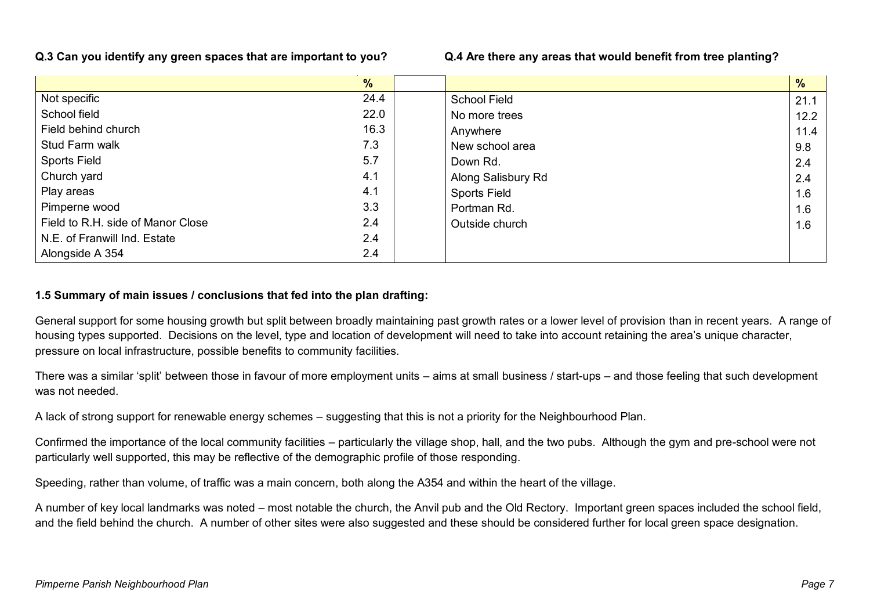#### **Q.3 Can you identify any green spaces that are important to you? Q.4 Are there any areas that would benefit from tree planting?**

|                                   | $\frac{9}{6}$ |                     | %    |
|-----------------------------------|---------------|---------------------|------|
| Not specific                      | 24.4          | <b>School Field</b> | 21.1 |
| School field                      | 22.0          | No more trees       | 12.2 |
| Field behind church               | 16.3          | Anywhere            | 11.4 |
| Stud Farm walk                    | 7.3           | New school area     | 9.8  |
| <b>Sports Field</b>               | 5.7           | Down Rd.            | 2.4  |
| Church yard                       | 4.1           | Along Salisbury Rd  | 2.4  |
| Play areas                        | 4.1           | <b>Sports Field</b> | 1.6  |
| Pimperne wood                     | 3.3           | Portman Rd.         | 1.6  |
| Field to R.H. side of Manor Close | 2.4           | Outside church      | 1.6  |
| N.E. of Franwill Ind. Estate      | 2.4           |                     |      |
| Alongside A 354                   | 2.4           |                     |      |

#### **1.5 Summary of main issues / conclusions that fed into the plan drafting:**

General support for some housing growth but split between broadly maintaining past growth rates or a lower level of provision than in recent years. A range of housing types supported. Decisions on the level, type and location of development will need to take into account retaining the area's unique character, pressure on local infrastructure, possible benefits to community facilities.

There was a similar 'split' between those in favour of more employment units – aims at small business / start-ups – and those feeling that such development was not needed.

A lack of strong support for renewable energy schemes – suggesting that this is not a priority for the Neighbourhood Plan.

Confirmed the importance of the local community facilities – particularly the village shop, hall, and the two pubs. Although the gym and pre-school were not particularly well supported, this may be reflective of the demographic profile of those responding.

Speeding, rather than volume, of traffic was a main concern, both along the A354 and within the heart of the village.

A number of key local landmarks was noted – most notable the church, the Anvil pub and the Old Rectory. Important green spaces included the school field, and the field behind the church. A number of other sites were also suggested and these should be considered further for local green space designation.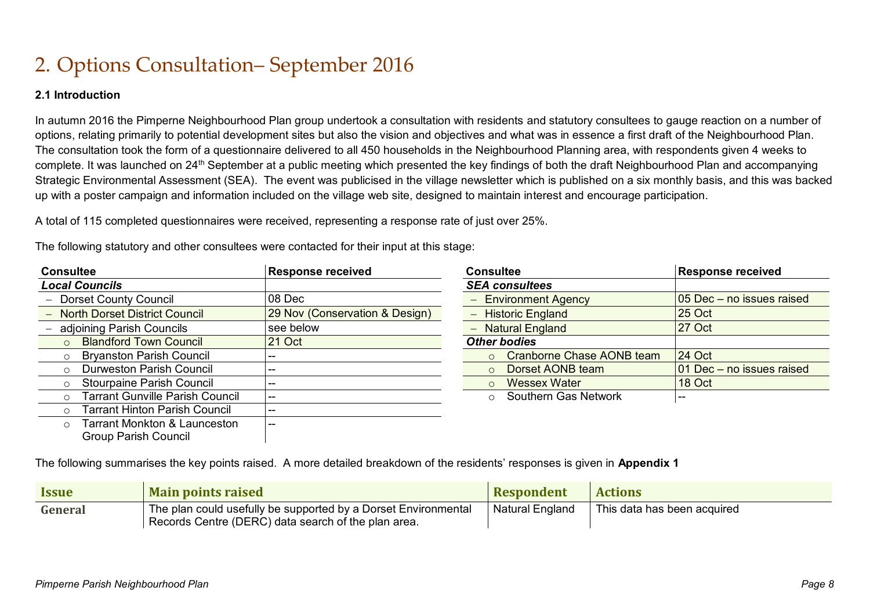### 2. Options Consultation– September 2016

#### **2.1 Introduction**

In autumn 2016 the Pimperne Neighbourhood Plan group undertook a consultation with residents and statutory consultees to gauge reaction on a number of options, relating primarily to potential development sites but also the vision and objectives and what was in essence a first draft of the Neighbourhood Plan. The consultation took the form of a questionnaire delivered to all 450 households in the Neighbourhood Planning area, with respondents given 4 weeks to complete. It was launched on 24<sup>th</sup> September at a public meeting which presented the key findings of both the draft Neighbourhood Plan and accompanying Strategic Environmental Assessment (SEA). The event was publicised in the village newsletter which is published on a six monthly basis, and this was backed up with a poster campaign and information included on the village web site, designed to maintain interest and encourage participation.

A total of 115 completed questionnaires were received, representing a response rate of just over 25%.

| The following statutory and other consultees were contacted for their input at this stage |  |  |
|-------------------------------------------------------------------------------------------|--|--|
|                                                                                           |  |  |

| <b>Consultee</b>                                  | <b>Response received</b>       | <b>Consultee</b>               | <b>Response received</b>  |
|---------------------------------------------------|--------------------------------|--------------------------------|---------------------------|
| <b>Local Councils</b>                             |                                | <b>SEA consultees</b>          |                           |
| <b>Dorset County Council</b>                      | 08 Dec                         | <b>Environment Agency</b>      | 05 Dec - no issues raised |
| <b>North Dorset District Council</b>              | 29 Nov (Conservation & Design) | <b>Historic England</b>        | $25$ Oct                  |
| adjoining Parish Councils                         | see below                      | <b>Natural England</b>         | $ 27 \text{ Oct} $        |
| <b>Blandford Town Council</b><br>$\circ$          | 21 Oct                         | <b>Other bodies</b>            |                           |
| <b>Bryanston Parish Council</b><br>$\circ$        |                                | Cranborne Chase AONB team      | $24$ Oct                  |
| Durweston Parish Council<br>$\circ$               |                                | Dorset AONB team               | 01 Dec - no issues raised |
| Stourpaine Parish Council<br>$\circ$              |                                | <b>Wessex Water</b><br>$\circ$ | 18 Oct                    |
| <b>Tarrant Gunville Parish Council</b><br>$\circ$ |                                | Southern Gas Network           | $- -$                     |
| <b>Tarrant Hinton Parish Council</b><br>$\circ$   |                                |                                |                           |
| <b>Tarrant Monkton &amp; Launceston</b><br>$\cap$ |                                |                                |                           |
| <b>Group Parish Council</b>                       |                                |                                |                           |

| <b>Consultee</b>                      | <b>Response received</b>  |
|---------------------------------------|---------------------------|
| <b>SEA consultees</b>                 |                           |
| - Environment Agency                  | 05 Dec - no issues raised |
| - Historic England                    | 25 Oct                    |
| - Natural England                     | 27 Oct                    |
| <b>Other bodies</b>                   |                           |
| Cranborne Chase AONB team<br>$\Omega$ | 24 Oct                    |
| Dorset AONB team<br>$\Omega$          | 01 Dec - no issues raised |
| <b>Wessex Water</b><br>$\Omega$       | 18 Oct                    |
| <b>Southern Gas Network</b>           |                           |

The following summarises the key points raised. A more detailed breakdown of the residents' responses is given in **Appendix 1**

| <b>Issue</b> | <b>Main points raised</b>                                                                                             | <b>Respondent</b> | <b>Actions</b>              |
|--------------|-----------------------------------------------------------------------------------------------------------------------|-------------------|-----------------------------|
| General      | The plan could usefully be supported by a Dorset Environmental<br>Records Centre (DERC) data search of the plan area. | Natural England   | This data has been acquired |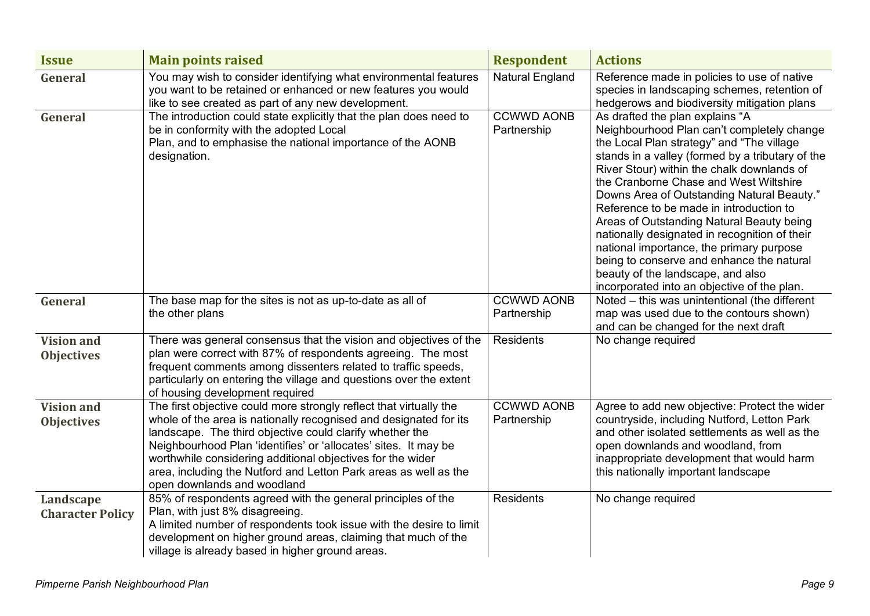| <b>Issue</b>                           | <b>Main points raised</b>                                                                                                                                                                                                                                                                                                                                                                                                               | <b>Respondent</b>                | <b>Actions</b>                                                                                                                                                                                                                                                                                                                                                                                                                                                                                                                                                                                                                             |
|----------------------------------------|-----------------------------------------------------------------------------------------------------------------------------------------------------------------------------------------------------------------------------------------------------------------------------------------------------------------------------------------------------------------------------------------------------------------------------------------|----------------------------------|--------------------------------------------------------------------------------------------------------------------------------------------------------------------------------------------------------------------------------------------------------------------------------------------------------------------------------------------------------------------------------------------------------------------------------------------------------------------------------------------------------------------------------------------------------------------------------------------------------------------------------------------|
| General                                | You may wish to consider identifying what environmental features<br>you want to be retained or enhanced or new features you would<br>like to see created as part of any new development.                                                                                                                                                                                                                                                | <b>Natural England</b>           | Reference made in policies to use of native<br>species in landscaping schemes, retention of<br>hedgerows and biodiversity mitigation plans                                                                                                                                                                                                                                                                                                                                                                                                                                                                                                 |
| General                                | The introduction could state explicitly that the plan does need to<br>be in conformity with the adopted Local<br>Plan, and to emphasise the national importance of the AONB<br>designation.                                                                                                                                                                                                                                             | <b>CCWWD AONB</b><br>Partnership | As drafted the plan explains "A<br>Neighbourhood Plan can't completely change<br>the Local Plan strategy" and "The village<br>stands in a valley (formed by a tributary of the<br>River Stour) within the chalk downlands of<br>the Cranborne Chase and West Wiltshire<br>Downs Area of Outstanding Natural Beauty."<br>Reference to be made in introduction to<br>Areas of Outstanding Natural Beauty being<br>nationally designated in recognition of their<br>national importance, the primary purpose<br>being to conserve and enhance the natural<br>beauty of the landscape, and also<br>incorporated into an objective of the plan. |
| General                                | The base map for the sites is not as up-to-date as all of<br>the other plans                                                                                                                                                                                                                                                                                                                                                            | <b>CCWWD AONB</b><br>Partnership | Noted - this was unintentional (the different<br>map was used due to the contours shown)<br>and can be changed for the next draft                                                                                                                                                                                                                                                                                                                                                                                                                                                                                                          |
| <b>Vision and</b><br><b>Objectives</b> | There was general consensus that the vision and objectives of the<br>plan were correct with 87% of respondents agreeing. The most<br>frequent comments among dissenters related to traffic speeds,<br>particularly on entering the village and questions over the extent<br>of housing development required                                                                                                                             | Residents                        | No change required                                                                                                                                                                                                                                                                                                                                                                                                                                                                                                                                                                                                                         |
| <b>Vision and</b><br><b>Objectives</b> | The first objective could more strongly reflect that virtually the<br>whole of the area is nationally recognised and designated for its<br>landscape. The third objective could clarify whether the<br>Neighbourhood Plan 'identifies' or 'allocates' sites. It may be<br>worthwhile considering additional objectives for the wider<br>area, including the Nutford and Letton Park areas as well as the<br>open downlands and woodland | <b>CCWWD AONB</b><br>Partnership | Agree to add new objective: Protect the wider<br>countryside, including Nutford, Letton Park<br>and other isolated settlements as well as the<br>open downlands and woodland, from<br>inappropriate development that would harm<br>this nationally important landscape                                                                                                                                                                                                                                                                                                                                                                     |
| Landscape<br><b>Character Policy</b>   | 85% of respondents agreed with the general principles of the<br>Plan, with just 8% disagreeing.<br>A limited number of respondents took issue with the desire to limit<br>development on higher ground areas, claiming that much of the<br>village is already based in higher ground areas.                                                                                                                                             | <b>Residents</b>                 | No change required                                                                                                                                                                                                                                                                                                                                                                                                                                                                                                                                                                                                                         |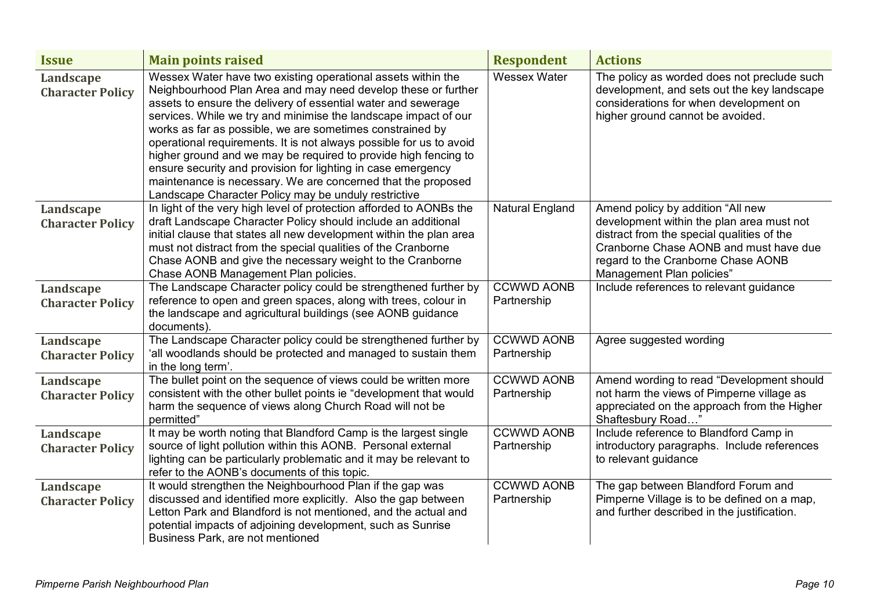| <b>Issue</b>                         | <b>Main points raised</b>                                                                                                                                                                                                                                                                                                                                                                                                                                                                                                                                                                                                                                        | <b>Respondent</b>      | <b>Actions</b>                                                                                                                                                                                       |
|--------------------------------------|------------------------------------------------------------------------------------------------------------------------------------------------------------------------------------------------------------------------------------------------------------------------------------------------------------------------------------------------------------------------------------------------------------------------------------------------------------------------------------------------------------------------------------------------------------------------------------------------------------------------------------------------------------------|------------------------|------------------------------------------------------------------------------------------------------------------------------------------------------------------------------------------------------|
| Landscape<br><b>Character Policy</b> | Wessex Water have two existing operational assets within the<br>Neighbourhood Plan Area and may need develop these or further<br>assets to ensure the delivery of essential water and sewerage<br>services. While we try and minimise the landscape impact of our<br>works as far as possible, we are sometimes constrained by<br>operational requirements. It is not always possible for us to avoid<br>higher ground and we may be required to provide high fencing to<br>ensure security and provision for lighting in case emergency<br>maintenance is necessary. We are concerned that the proposed<br>Landscape Character Policy may be unduly restrictive | <b>Wessex Water</b>    | The policy as worded does not preclude such<br>development, and sets out the key landscape<br>considerations for when development on<br>higher ground cannot be avoided.                             |
| Landscape                            | In light of the very high level of protection afforded to AONBs the                                                                                                                                                                                                                                                                                                                                                                                                                                                                                                                                                                                              | <b>Natural England</b> | Amend policy by addition "All new                                                                                                                                                                    |
| <b>Character Policy</b>              | draft Landscape Character Policy should include an additional<br>initial clause that states all new development within the plan area<br>must not distract from the special qualities of the Cranborne<br>Chase AONB and give the necessary weight to the Cranborne<br>Chase AONB Management Plan policies.                                                                                                                                                                                                                                                                                                                                                       |                        | development within the plan area must not<br>distract from the special qualities of the<br>Cranborne Chase AONB and must have due<br>regard to the Cranborne Chase AONB<br>Management Plan policies" |
| Landscape                            | The Landscape Character policy could be strengthened further by                                                                                                                                                                                                                                                                                                                                                                                                                                                                                                                                                                                                  | <b>CCWWD AONB</b>      | Include references to relevant guidance                                                                                                                                                              |
| <b>Character Policy</b>              | reference to open and green spaces, along with trees, colour in<br>the landscape and agricultural buildings (see AONB guidance<br>documents).                                                                                                                                                                                                                                                                                                                                                                                                                                                                                                                    | Partnership            |                                                                                                                                                                                                      |
| Landscape                            | The Landscape Character policy could be strengthened further by                                                                                                                                                                                                                                                                                                                                                                                                                                                                                                                                                                                                  | <b>CCWWD AONB</b>      | Agree suggested wording                                                                                                                                                                              |
| <b>Character Policy</b>              | 'all woodlands should be protected and managed to sustain them<br>in the long term'.                                                                                                                                                                                                                                                                                                                                                                                                                                                                                                                                                                             | Partnership            |                                                                                                                                                                                                      |
| Landscape                            | The bullet point on the sequence of views could be written more                                                                                                                                                                                                                                                                                                                                                                                                                                                                                                                                                                                                  | <b>CCWWD AONB</b>      | Amend wording to read "Development should                                                                                                                                                            |
| <b>Character Policy</b>              | consistent with the other bullet points ie "development that would<br>harm the sequence of views along Church Road will not be<br>permitted"                                                                                                                                                                                                                                                                                                                                                                                                                                                                                                                     | Partnership            | not harm the views of Pimperne village as<br>appreciated on the approach from the Higher<br>Shaftesbury Road                                                                                         |
| Landscape                            | It may be worth noting that Blandford Camp is the largest single                                                                                                                                                                                                                                                                                                                                                                                                                                                                                                                                                                                                 | <b>CCWWD AONB</b>      | Include reference to Blandford Camp in                                                                                                                                                               |
| <b>Character Policy</b>              | source of light pollution within this AONB. Personal external<br>lighting can be particularly problematic and it may be relevant to<br>refer to the AONB's documents of this topic.                                                                                                                                                                                                                                                                                                                                                                                                                                                                              | Partnership            | introductory paragraphs. Include references<br>to relevant guidance                                                                                                                                  |
| Landscape                            | It would strengthen the Neighbourhood Plan if the gap was                                                                                                                                                                                                                                                                                                                                                                                                                                                                                                                                                                                                        | <b>CCWWD AONB</b>      | The gap between Blandford Forum and                                                                                                                                                                  |
| <b>Character Policy</b>              | discussed and identified more explicitly. Also the gap between<br>Letton Park and Blandford is not mentioned, and the actual and                                                                                                                                                                                                                                                                                                                                                                                                                                                                                                                                 | Partnership            | Pimperne Village is to be defined on a map,<br>and further described in the justification.                                                                                                           |
|                                      | potential impacts of adjoining development, such as Sunrise                                                                                                                                                                                                                                                                                                                                                                                                                                                                                                                                                                                                      |                        |                                                                                                                                                                                                      |
|                                      | Business Park, are not mentioned                                                                                                                                                                                                                                                                                                                                                                                                                                                                                                                                                                                                                                 |                        |                                                                                                                                                                                                      |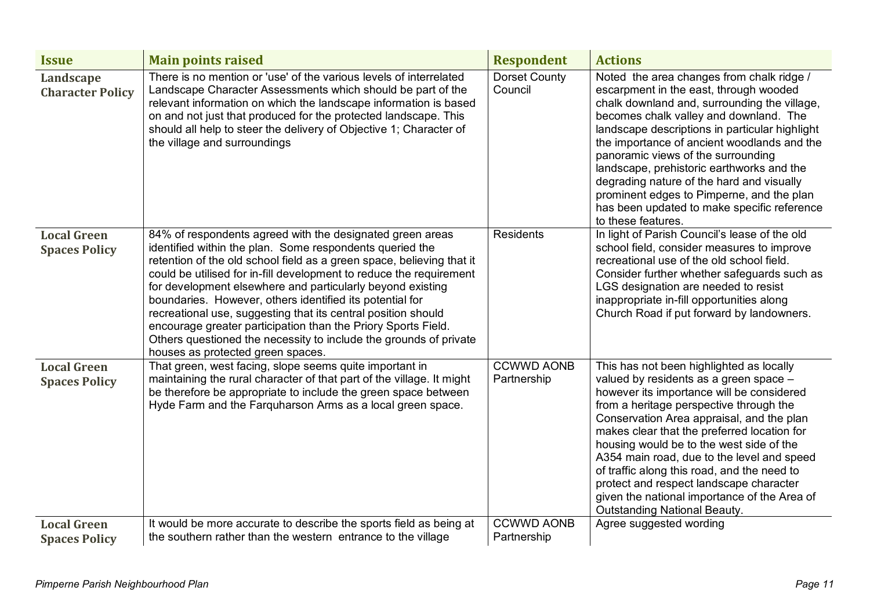| <b>Issue</b>                               | <b>Main points raised</b>                                                                                                                                                                                                                                                                                                                                                                                                                                                                                                                                                                                                                   | <b>Respondent</b>                | <b>Actions</b>                                                                                                                                                                                                                                                                                                                                                                                                                                                                                                                                    |
|--------------------------------------------|---------------------------------------------------------------------------------------------------------------------------------------------------------------------------------------------------------------------------------------------------------------------------------------------------------------------------------------------------------------------------------------------------------------------------------------------------------------------------------------------------------------------------------------------------------------------------------------------------------------------------------------------|----------------------------------|---------------------------------------------------------------------------------------------------------------------------------------------------------------------------------------------------------------------------------------------------------------------------------------------------------------------------------------------------------------------------------------------------------------------------------------------------------------------------------------------------------------------------------------------------|
| Landscape<br><b>Character Policy</b>       | There is no mention or 'use' of the various levels of interrelated<br>Landscape Character Assessments which should be part of the<br>relevant information on which the landscape information is based<br>on and not just that produced for the protected landscape. This<br>should all help to steer the delivery of Objective 1; Character of<br>the village and surroundings                                                                                                                                                                                                                                                              | <b>Dorset County</b><br>Council  | Noted the area changes from chalk ridge /<br>escarpment in the east, through wooded<br>chalk downland and, surrounding the village,<br>becomes chalk valley and downland. The<br>landscape descriptions in particular highlight<br>the importance of ancient woodlands and the<br>panoramic views of the surrounding<br>landscape, prehistoric earthworks and the<br>degrading nature of the hard and visually<br>prominent edges to Pimperne, and the plan<br>has been updated to make specific reference<br>to these features.                  |
| <b>Local Green</b><br><b>Spaces Policy</b> | 84% of respondents agreed with the designated green areas<br>identified within the plan. Some respondents queried the<br>retention of the old school field as a green space, believing that it<br>could be utilised for in-fill development to reduce the requirement<br>for development elsewhere and particularly beyond existing<br>boundaries. However, others identified its potential for<br>recreational use, suggesting that its central position should<br>encourage greater participation than the Priory Sports Field.<br>Others questioned the necessity to include the grounds of private<br>houses as protected green spaces. | <b>Residents</b>                 | In light of Parish Council's lease of the old<br>school field, consider measures to improve<br>recreational use of the old school field.<br>Consider further whether safeguards such as<br>LGS designation are needed to resist<br>inappropriate in-fill opportunities along<br>Church Road if put forward by landowners.                                                                                                                                                                                                                         |
| <b>Local Green</b><br><b>Spaces Policy</b> | That green, west facing, slope seems quite important in<br>maintaining the rural character of that part of the village. It might<br>be therefore be appropriate to include the green space between<br>Hyde Farm and the Farquharson Arms as a local green space.                                                                                                                                                                                                                                                                                                                                                                            | <b>CCWWD AONB</b><br>Partnership | This has not been highlighted as locally<br>valued by residents as a green space -<br>however its importance will be considered<br>from a heritage perspective through the<br>Conservation Area appraisal, and the plan<br>makes clear that the preferred location for<br>housing would be to the west side of the<br>A354 main road, due to the level and speed<br>of traffic along this road, and the need to<br>protect and respect landscape character<br>given the national importance of the Area of<br><b>Outstanding National Beauty.</b> |
| <b>Local Green</b><br><b>Spaces Policy</b> | It would be more accurate to describe the sports field as being at<br>the southern rather than the western entrance to the village                                                                                                                                                                                                                                                                                                                                                                                                                                                                                                          | <b>CCWWD AONB</b><br>Partnership | Agree suggested wording                                                                                                                                                                                                                                                                                                                                                                                                                                                                                                                           |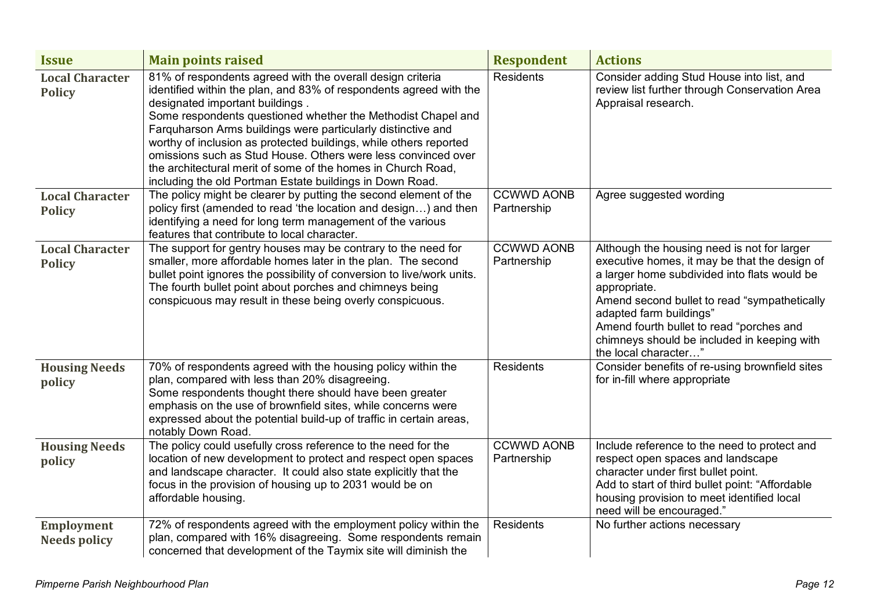| <b>Issue</b>                             | <b>Main points raised</b>                                                                                                                                                                                                                                                                                                                                                                                                                                                                                                                                             | <b>Respondent</b>                | <b>Actions</b>                                                                                                                                                                                                                                                                                                                                             |
|------------------------------------------|-----------------------------------------------------------------------------------------------------------------------------------------------------------------------------------------------------------------------------------------------------------------------------------------------------------------------------------------------------------------------------------------------------------------------------------------------------------------------------------------------------------------------------------------------------------------------|----------------------------------|------------------------------------------------------------------------------------------------------------------------------------------------------------------------------------------------------------------------------------------------------------------------------------------------------------------------------------------------------------|
| <b>Local Character</b><br><b>Policy</b>  | 81% of respondents agreed with the overall design criteria<br>identified within the plan, and 83% of respondents agreed with the<br>designated important buildings.<br>Some respondents questioned whether the Methodist Chapel and<br>Farquharson Arms buildings were particularly distinctive and<br>worthy of inclusion as protected buildings, while others reported<br>omissions such as Stud House. Others were less convinced over<br>the architectural merit of some of the homes in Church Road,<br>including the old Portman Estate buildings in Down Road. | <b>Residents</b>                 | Consider adding Stud House into list, and<br>review list further through Conservation Area<br>Appraisal research.                                                                                                                                                                                                                                          |
| <b>Local Character</b><br><b>Policy</b>  | The policy might be clearer by putting the second element of the<br>policy first (amended to read 'the location and design) and then<br>identifying a need for long term management of the various<br>features that contribute to local character.                                                                                                                                                                                                                                                                                                                    | <b>CCWWD AONB</b><br>Partnership | Agree suggested wording                                                                                                                                                                                                                                                                                                                                    |
| <b>Local Character</b><br><b>Policy</b>  | The support for gentry houses may be contrary to the need for<br>smaller, more affordable homes later in the plan. The second<br>bullet point ignores the possibility of conversion to live/work units.<br>The fourth bullet point about porches and chimneys being<br>conspicuous may result in these being overly conspicuous.                                                                                                                                                                                                                                      | <b>CCWWD AONB</b><br>Partnership | Although the housing need is not for larger<br>executive homes, it may be that the design of<br>a larger home subdivided into flats would be<br>appropriate.<br>Amend second bullet to read "sympathetically<br>adapted farm buildings"<br>Amend fourth bullet to read "porches and<br>chimneys should be included in keeping with<br>the local character" |
| <b>Housing Needs</b><br>policy           | 70% of respondents agreed with the housing policy within the<br>plan, compared with less than 20% disagreeing.<br>Some respondents thought there should have been greater<br>emphasis on the use of brownfield sites, while concerns were<br>expressed about the potential build-up of traffic in certain areas,<br>notably Down Road.                                                                                                                                                                                                                                | <b>Residents</b>                 | Consider benefits of re-using brownfield sites<br>for in-fill where appropriate                                                                                                                                                                                                                                                                            |
| <b>Housing Needs</b><br>policy           | The policy could usefully cross reference to the need for the<br>location of new development to protect and respect open spaces<br>and landscape character. It could also state explicitly that the<br>focus in the provision of housing up to 2031 would be on<br>affordable housing.                                                                                                                                                                                                                                                                                | <b>CCWWD AONB</b><br>Partnership | Include reference to the need to protect and<br>respect open spaces and landscape<br>character under first bullet point.<br>Add to start of third bullet point: "Affordable<br>housing provision to meet identified local<br>need will be encouraged."                                                                                                     |
| <b>Employment</b><br><b>Needs policy</b> | 72% of respondents agreed with the employment policy within the<br>plan, compared with 16% disagreeing. Some respondents remain<br>concerned that development of the Taymix site will diminish the                                                                                                                                                                                                                                                                                                                                                                    | <b>Residents</b>                 | No further actions necessary                                                                                                                                                                                                                                                                                                                               |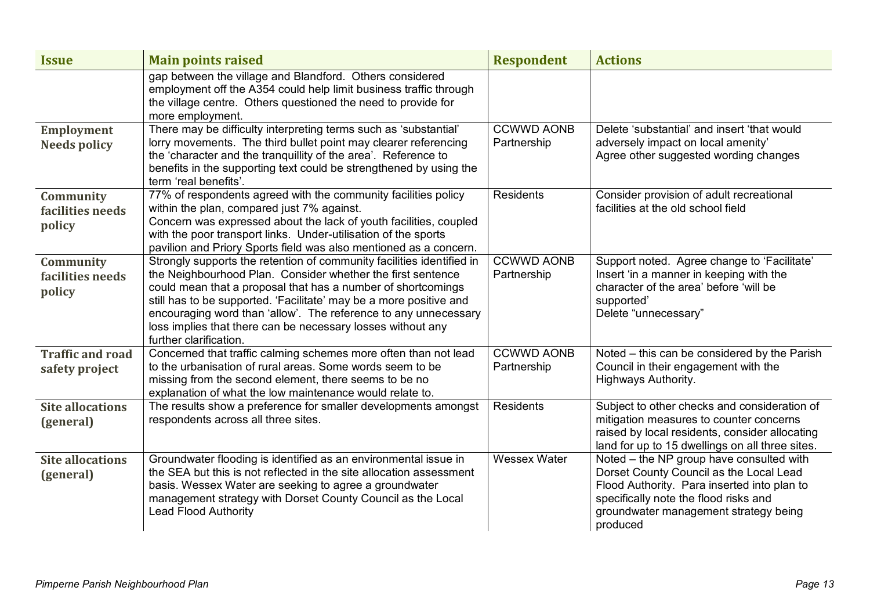| <b>Issue</b>                              | <b>Main points raised</b>                                                                                                                                                                                                                                                                                                                                                                                                              | <b>Respondent</b>                | <b>Actions</b>                                                                                                                                                                                                                   |
|-------------------------------------------|----------------------------------------------------------------------------------------------------------------------------------------------------------------------------------------------------------------------------------------------------------------------------------------------------------------------------------------------------------------------------------------------------------------------------------------|----------------------------------|----------------------------------------------------------------------------------------------------------------------------------------------------------------------------------------------------------------------------------|
|                                           | gap between the village and Blandford. Others considered<br>employment off the A354 could help limit business traffic through<br>the village centre. Others questioned the need to provide for<br>more employment.                                                                                                                                                                                                                     |                                  |                                                                                                                                                                                                                                  |
| <b>Employment</b><br><b>Needs policy</b>  | There may be difficulty interpreting terms such as 'substantial'<br>lorry movements. The third bullet point may clearer referencing<br>the 'character and the tranquillity of the area'. Reference to<br>benefits in the supporting text could be strengthened by using the<br>term 'real benefits'.                                                                                                                                   | <b>CCWWD AONB</b><br>Partnership | Delete 'substantial' and insert 'that would<br>adversely impact on local amenity'<br>Agree other suggested wording changes                                                                                                       |
| Community<br>facilities needs<br>policy   | 77% of respondents agreed with the community facilities policy<br>within the plan, compared just 7% against.<br>Concern was expressed about the lack of youth facilities, coupled<br>with the poor transport links. Under-utilisation of the sports<br>pavilion and Priory Sports field was also mentioned as a concern.                                                                                                               | <b>Residents</b>                 | Consider provision of adult recreational<br>facilities at the old school field                                                                                                                                                   |
| Community<br>facilities needs<br>policy   | Strongly supports the retention of community facilities identified in<br>the Neighbourhood Plan. Consider whether the first sentence<br>could mean that a proposal that has a number of shortcomings<br>still has to be supported. 'Facilitate' may be a more positive and<br>encouraging word than 'allow'. The reference to any unnecessary<br>loss implies that there can be necessary losses without any<br>further clarification. | <b>CCWWD AONB</b><br>Partnership | Support noted. Agree change to 'Facilitate'<br>Insert 'in a manner in keeping with the<br>character of the area' before 'will be<br>supported'<br>Delete "unnecessary"                                                           |
| <b>Traffic and road</b><br>safety project | Concerned that traffic calming schemes more often than not lead<br>to the urbanisation of rural areas. Some words seem to be<br>missing from the second element, there seems to be no<br>explanation of what the low maintenance would relate to.                                                                                                                                                                                      | <b>CCWWD AONB</b><br>Partnership | Noted – this can be considered by the Parish<br>Council in their engagement with the<br>Highways Authority.                                                                                                                      |
| <b>Site allocations</b><br>(general)      | The results show a preference for smaller developments amongst<br>respondents across all three sites.                                                                                                                                                                                                                                                                                                                                  | <b>Residents</b>                 | Subject to other checks and consideration of<br>mitigation measures to counter concerns<br>raised by local residents, consider allocating<br>land for up to 15 dwellings on all three sites.                                     |
| <b>Site allocations</b><br>(general)      | Groundwater flooding is identified as an environmental issue in<br>the SEA but this is not reflected in the site allocation assessment<br>basis. Wessex Water are seeking to agree a groundwater<br>management strategy with Dorset County Council as the Local<br><b>Lead Flood Authority</b>                                                                                                                                         | Wessex Water                     | Noted – the NP group have consulted with<br>Dorset County Council as the Local Lead<br>Flood Authority. Para inserted into plan to<br>specifically note the flood risks and<br>groundwater management strategy being<br>produced |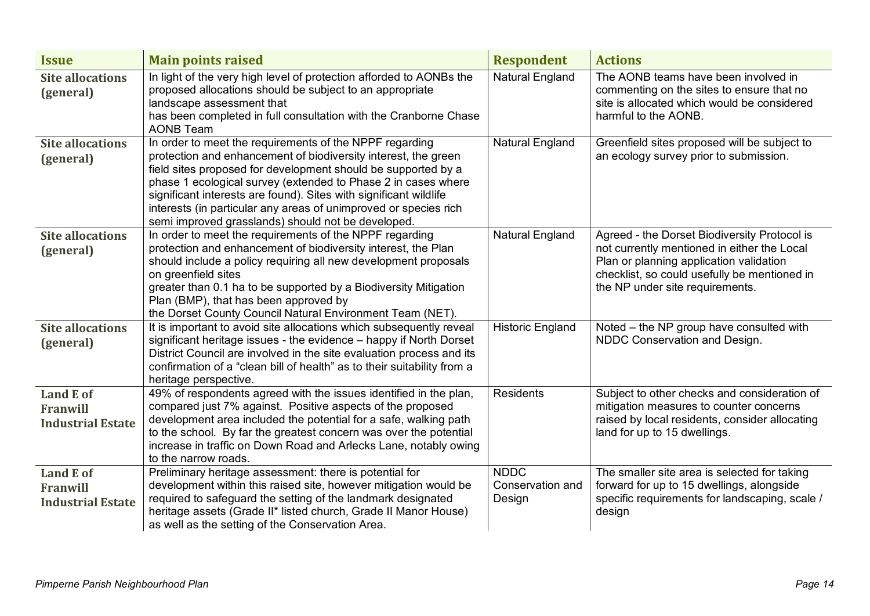| <b>Issue</b>                                                    | <b>Main points raised</b>                                                                                                                                                                                                                                                                                                                                                                                                                                  | <b>Respondent</b>                         | <b>Actions</b>                                                                                                                                                                                                            |
|-----------------------------------------------------------------|------------------------------------------------------------------------------------------------------------------------------------------------------------------------------------------------------------------------------------------------------------------------------------------------------------------------------------------------------------------------------------------------------------------------------------------------------------|-------------------------------------------|---------------------------------------------------------------------------------------------------------------------------------------------------------------------------------------------------------------------------|
| <b>Site allocations</b><br>(general)                            | In light of the very high level of protection afforded to AONBs the<br>proposed allocations should be subject to an appropriate<br>landscape assessment that<br>has been completed in full consultation with the Cranborne Chase<br><b>AONB Team</b>                                                                                                                                                                                                       | <b>Natural England</b>                    | The AONB teams have been involved in<br>commenting on the sites to ensure that no<br>site is allocated which would be considered<br>harmful to the AONB.                                                                  |
| <b>Site allocations</b><br>(general)                            | In order to meet the requirements of the NPPF regarding<br>protection and enhancement of biodiversity interest, the green<br>field sites proposed for development should be supported by a<br>phase 1 ecological survey (extended to Phase 2 in cases where<br>significant interests are found). Sites with significant wildlife<br>interests (in particular any areas of unimproved or species rich<br>semi improved grasslands) should not be developed. | <b>Natural England</b>                    | Greenfield sites proposed will be subject to<br>an ecology survey prior to submission.                                                                                                                                    |
| <b>Site allocations</b><br>(general)                            | In order to meet the requirements of the NPPF regarding<br>protection and enhancement of biodiversity interest, the Plan<br>should include a policy requiring all new development proposals<br>on greenfield sites<br>greater than 0.1 ha to be supported by a Biodiversity Mitigation<br>Plan (BMP), that has been approved by<br>the Dorset County Council Natural Environment Team (NET).                                                               | <b>Natural England</b>                    | Agreed - the Dorset Biodiversity Protocol is<br>not currently mentioned in either the Local<br>Plan or planning application validation<br>checklist, so could usefully be mentioned in<br>the NP under site requirements. |
| <b>Site allocations</b><br>(general)                            | It is important to avoid site allocations which subsequently reveal<br>significant heritage issues - the evidence - happy if North Dorset<br>District Council are involved in the site evaluation process and its<br>confirmation of a "clean bill of health" as to their suitability from a<br>heritage perspective.                                                                                                                                      | <b>Historic England</b>                   | Noted - the NP group have consulted with<br>NDDC Conservation and Design.                                                                                                                                                 |
| <b>Land E of</b><br><b>Franwill</b><br><b>Industrial Estate</b> | 49% of respondents agreed with the issues identified in the plan,<br>compared just 7% against. Positive aspects of the proposed<br>development area included the potential for a safe, walking path<br>to the school. By far the greatest concern was over the potential<br>increase in traffic on Down Road and Arlecks Lane, notably owing<br>to the narrow roads.                                                                                       | <b>Residents</b>                          | Subject to other checks and consideration of<br>mitigation measures to counter concerns<br>raised by local residents, consider allocating<br>land for up to 15 dwellings.                                                 |
| <b>Land E of</b><br><b>Franwill</b><br><b>Industrial Estate</b> | Preliminary heritage assessment: there is potential for<br>development within this raised site, however mitigation would be<br>required to safeguard the setting of the landmark designated<br>heritage assets (Grade II* listed church, Grade II Manor House)<br>as well as the setting of the Conservation Area.                                                                                                                                         | <b>NDDC</b><br>Conservation and<br>Design | The smaller site area is selected for taking<br>forward for up to 15 dwellings, alongside<br>specific requirements for landscaping, scale /<br>design                                                                     |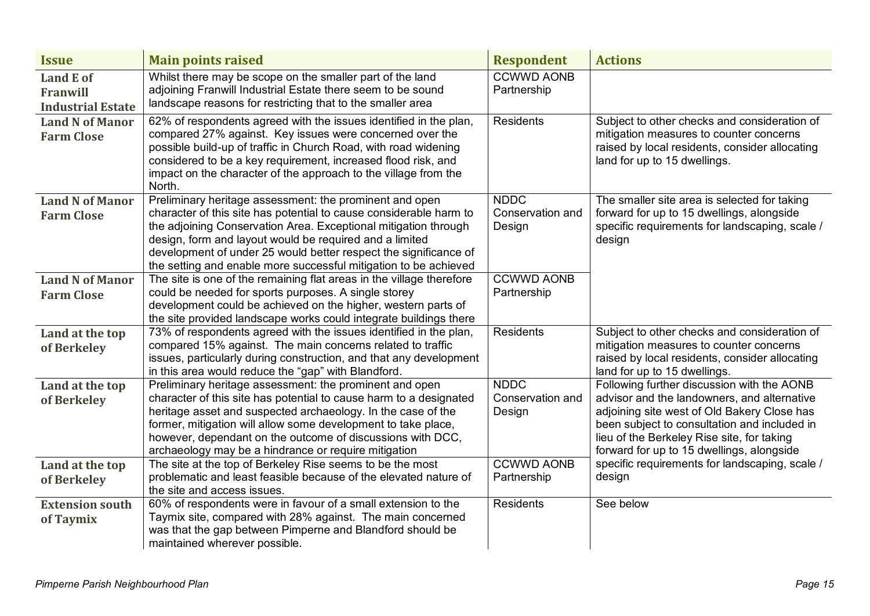| <b>Issue</b>                                             | <b>Main points raised</b>                                                                                                                                                                                                                                                                                                                                                                           | <b>Respondent</b>                                              | <b>Actions</b>                                                                                                                                                                                                                                                                      |
|----------------------------------------------------------|-----------------------------------------------------------------------------------------------------------------------------------------------------------------------------------------------------------------------------------------------------------------------------------------------------------------------------------------------------------------------------------------------------|----------------------------------------------------------------|-------------------------------------------------------------------------------------------------------------------------------------------------------------------------------------------------------------------------------------------------------------------------------------|
| <b>Land E of</b><br>Franwill<br><b>Industrial Estate</b> | Whilst there may be scope on the smaller part of the land<br>adjoining Franwill Industrial Estate there seem to be sound<br>landscape reasons for restricting that to the smaller area                                                                                                                                                                                                              | <b>CCWWD AONB</b><br>Partnership                               |                                                                                                                                                                                                                                                                                     |
| <b>Land N of Manor</b><br><b>Farm Close</b>              | 62% of respondents agreed with the issues identified in the plan,<br>compared 27% against. Key issues were concerned over the<br>possible build-up of traffic in Church Road, with road widening<br>considered to be a key requirement, increased flood risk, and<br>impact on the character of the approach to the village from the<br>North.                                                      | <b>Residents</b>                                               | Subject to other checks and consideration of<br>mitigation measures to counter concerns<br>raised by local residents, consider allocating<br>land for up to 15 dwellings.                                                                                                           |
| <b>Land N of Manor</b><br><b>Farm Close</b>              | Preliminary heritage assessment: the prominent and open<br>character of this site has potential to cause considerable harm to<br>the adjoining Conservation Area. Exceptional mitigation through<br>design, form and layout would be required and a limited<br>development of under 25 would better respect the significance of<br>the setting and enable more successful mitigation to be achieved | <b>NDDC</b><br>Conservation and<br>Design                      | The smaller site area is selected for taking<br>forward for up to 15 dwellings, alongside<br>specific requirements for landscaping, scale /<br>design                                                                                                                               |
| <b>Land N of Manor</b><br><b>Farm Close</b>              | The site is one of the remaining flat areas in the village therefore<br>could be needed for sports purposes. A single storey<br>development could be achieved on the higher, western parts of<br>the site provided landscape works could integrate buildings there                                                                                                                                  | <b>CCWWD AONB</b><br>Partnership                               |                                                                                                                                                                                                                                                                                     |
| Land at the top<br>of Berkeley                           | 73% of respondents agreed with the issues identified in the plan,<br>compared 15% against. The main concerns related to traffic<br>issues, particularly during construction, and that any development<br>in this area would reduce the "gap" with Blandford.                                                                                                                                        | <b>Residents</b>                                               | Subject to other checks and consideration of<br>mitigation measures to counter concerns<br>raised by local residents, consider allocating<br>land for up to 15 dwellings.                                                                                                           |
| Land at the top<br>of Berkeley                           | Preliminary heritage assessment: the prominent and open<br>character of this site has potential to cause harm to a designated<br>heritage asset and suspected archaeology. In the case of the<br>former, mitigation will allow some development to take place,<br>however, dependant on the outcome of discussions with DCC,<br>archaeology may be a hindrance or require mitigation                | <b>NDDC</b><br>Conservation and<br>Design<br><b>CCWWD AONB</b> | Following further discussion with the AONB<br>advisor and the landowners, and alternative<br>adjoining site west of Old Bakery Close has<br>been subject to consultation and included in<br>lieu of the Berkeley Rise site, for taking<br>forward for up to 15 dwellings, alongside |
| Land at the top<br>of Berkeley                           | The site at the top of Berkeley Rise seems to be the most<br>problematic and least feasible because of the elevated nature of<br>the site and access issues.                                                                                                                                                                                                                                        | Partnership                                                    | specific requirements for landscaping, scale /<br>design                                                                                                                                                                                                                            |
| <b>Extension south</b><br>of Taymix                      | 60% of respondents were in favour of a small extension to the<br>Taymix site, compared with 28% against. The main concerned<br>was that the gap between Pimperne and Blandford should be<br>maintained wherever possible.                                                                                                                                                                           | <b>Residents</b>                                               | See below                                                                                                                                                                                                                                                                           |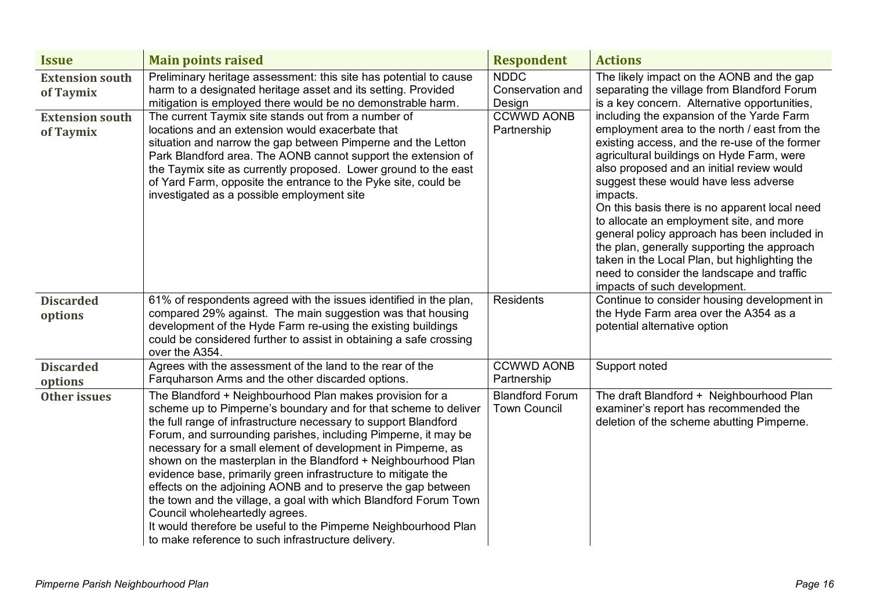| <b>Issue</b>                        | <b>Main points raised</b>                                                                                                                                                                                                                                                                                                                                                                                                                                                                                                                                                                                                                                                                                                                                          | <b>Respondent</b>                             | <b>Actions</b>                                                                                                                                                                                                                                                                                                                                                                                                                                                                                                                                                                                                       |
|-------------------------------------|--------------------------------------------------------------------------------------------------------------------------------------------------------------------------------------------------------------------------------------------------------------------------------------------------------------------------------------------------------------------------------------------------------------------------------------------------------------------------------------------------------------------------------------------------------------------------------------------------------------------------------------------------------------------------------------------------------------------------------------------------------------------|-----------------------------------------------|----------------------------------------------------------------------------------------------------------------------------------------------------------------------------------------------------------------------------------------------------------------------------------------------------------------------------------------------------------------------------------------------------------------------------------------------------------------------------------------------------------------------------------------------------------------------------------------------------------------------|
| <b>Extension south</b><br>of Taymix | Preliminary heritage assessment: this site has potential to cause<br>harm to a designated heritage asset and its setting. Provided<br>mitigation is employed there would be no demonstrable harm.                                                                                                                                                                                                                                                                                                                                                                                                                                                                                                                                                                  | <b>NDDC</b><br>Conservation and<br>Design     | The likely impact on the AONB and the gap<br>separating the village from Blandford Forum<br>is a key concern. Alternative opportunities,                                                                                                                                                                                                                                                                                                                                                                                                                                                                             |
| <b>Extension south</b><br>of Taymix | The current Taymix site stands out from a number of<br>locations and an extension would exacerbate that<br>situation and narrow the gap between Pimperne and the Letton<br>Park Blandford area. The AONB cannot support the extension of<br>the Taymix site as currently proposed. Lower ground to the east<br>of Yard Farm, opposite the entrance to the Pyke site, could be<br>investigated as a possible employment site                                                                                                                                                                                                                                                                                                                                        | <b>CCWWD AONB</b><br>Partnership              | including the expansion of the Yarde Farm<br>employment area to the north / east from the<br>existing access, and the re-use of the former<br>agricultural buildings on Hyde Farm, were<br>also proposed and an initial review would<br>suggest these would have less adverse<br>impacts.<br>On this basis there is no apparent local need<br>to allocate an employment site, and more<br>general policy approach has been included in<br>the plan, generally supporting the approach<br>taken in the Local Plan, but highlighting the<br>need to consider the landscape and traffic<br>impacts of such development. |
| <b>Discarded</b><br>options         | 61% of respondents agreed with the issues identified in the plan,<br>compared 29% against. The main suggestion was that housing<br>development of the Hyde Farm re-using the existing buildings<br>could be considered further to assist in obtaining a safe crossing<br>over the A354.                                                                                                                                                                                                                                                                                                                                                                                                                                                                            | <b>Residents</b>                              | Continue to consider housing development in<br>the Hyde Farm area over the A354 as a<br>potential alternative option                                                                                                                                                                                                                                                                                                                                                                                                                                                                                                 |
| <b>Discarded</b><br>options         | Agrees with the assessment of the land to the rear of the<br>Farguharson Arms and the other discarded options.                                                                                                                                                                                                                                                                                                                                                                                                                                                                                                                                                                                                                                                     | <b>CCWWD AONB</b><br>Partnership              | Support noted                                                                                                                                                                                                                                                                                                                                                                                                                                                                                                                                                                                                        |
| Other issues                        | The Blandford + Neighbourhood Plan makes provision for a<br>scheme up to Pimperne's boundary and for that scheme to deliver<br>the full range of infrastructure necessary to support Blandford<br>Forum, and surrounding parishes, including Pimperne, it may be<br>necessary for a small element of development in Pimperne, as<br>shown on the masterplan in the Blandford + Neighbourhood Plan<br>evidence base, primarily green infrastructure to mitigate the<br>effects on the adjoining AONB and to preserve the gap between<br>the town and the village, a goal with which Blandford Forum Town<br>Council wholeheartedly agrees.<br>It would therefore be useful to the Pimperne Neighbourhood Plan<br>to make reference to such infrastructure delivery. | <b>Blandford Forum</b><br><b>Town Council</b> | The draft Blandford + Neighbourhood Plan<br>examiner's report has recommended the<br>deletion of the scheme abutting Pimperne.                                                                                                                                                                                                                                                                                                                                                                                                                                                                                       |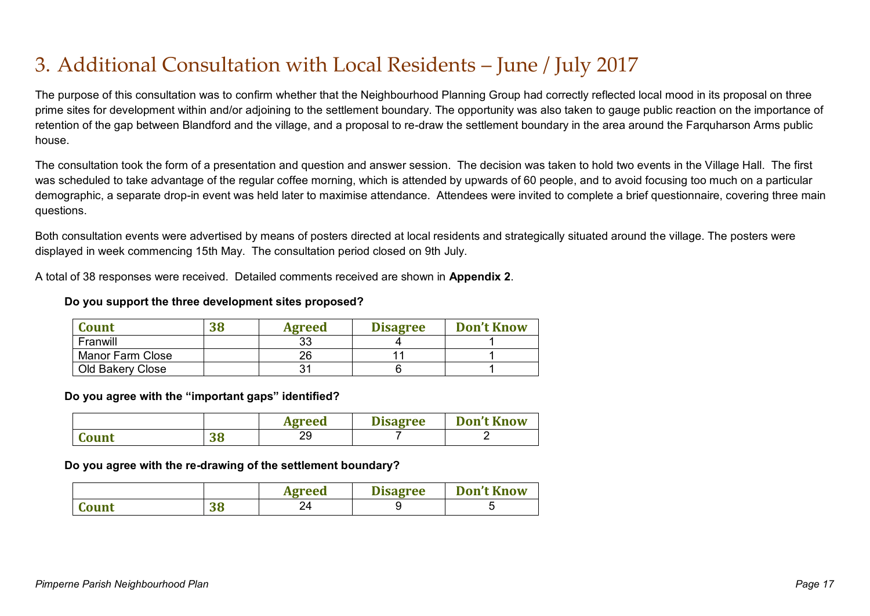### 3. Additional Consultation with Local Residents – June / July 2017

The purpose of this consultation was to confirm whether that the Neighbourhood Planning Group had correctly reflected local mood in its proposal on three prime sites for development within and/or adjoining to the settlement boundary. The opportunity was also taken to gauge public reaction on the importance of retention of the gap between Blandford and the village, and a proposal to re-draw the settlement boundary in the area around the Farquharson Arms public house.

The consultation took the form of a presentation and question and answer session. The decision was taken to hold two events in the Village Hall. The first was scheduled to take advantage of the regular coffee morning, which is attended by upwards of 60 people, and to avoid focusing too much on a particular demographic, a separate drop-in event was held later to maximise attendance. Attendees were invited to complete a brief questionnaire, covering three main questions.

Both consultation events were advertised by means of posters directed at local residents and strategically situated around the village. The posters were displayed in week commencing 15th May. The consultation period closed on 9th July.

A total of 38 responses were received. Detailed comments received are shown in **Appendix 2**.

#### **Do you support the three development sites proposed?**

| <b>Count</b>            | 38 | <b>Agreed</b> | <b>Disagree</b> | <b>Don't Know</b> |
|-------------------------|----|---------------|-----------------|-------------------|
| Franwill                |    | ບບ            |                 |                   |
| <b>Manor Farm Close</b> |    | 26            |                 |                   |
| Old Bakery Close        |    |               |                 |                   |

**Do you agree with the "important gaps" identified?**

|       |          | <b>Agreed</b> | <b>Disagree</b> | <b>Don't Know</b> |
|-------|----------|---------------|-----------------|-------------------|
| Count | ባር<br>JО | oc<br>∠ສ      |                 |                   |

**Do you agree with the re-drawing of the settlement boundary?**

|       |           | Agreed | <b>Disagree</b> | <b>Don't Know</b> |
|-------|-----------|--------|-----------------|-------------------|
| Count | n c<br>Jυ |        |                 |                   |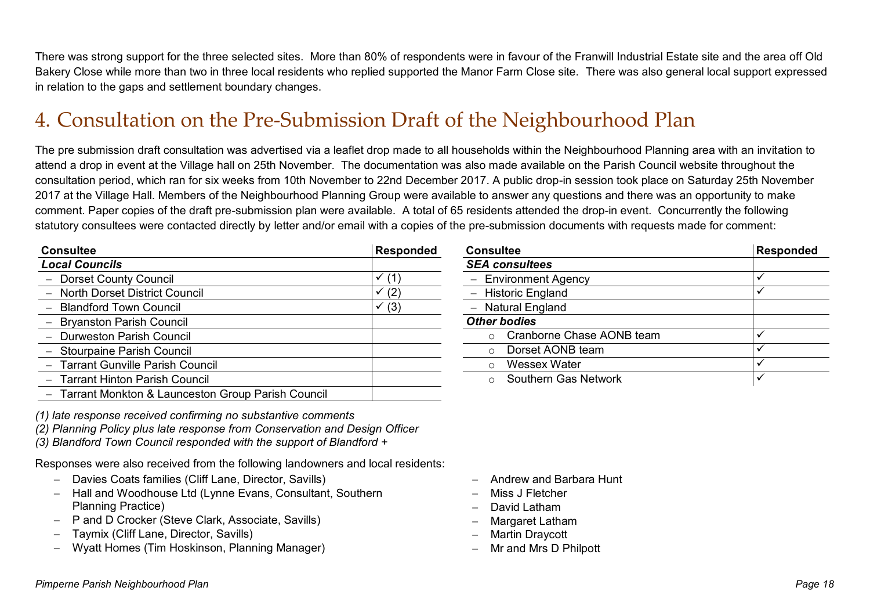There was strong support for the three selected sites. More than 80% of respondents were in favour of the Franwill Industrial Estate site and the area off Old Bakery Close while more than two in three local residents who replied supported the Manor Farm Close site. There was also general local support expressed in relation to the gaps and settlement boundary changes.

### 4. Consultation on the Pre-Submission Draft of the Neighbourhood Plan

The pre submission draft consultation was advertised via a leaflet drop made to all households within the Neighbourhood Planning area with an invitation to attend a drop in event at the Village hall on 25th November. The documentation was also made available on the Parish Council website throughout the consultation period, which ran for six weeks from 10th November to 22nd December 2017. A public drop-in session took place on Saturday 25th November 2017 at the Village Hall. Members of the Neighbourhood Planning Group were available to answer any questions and there was an opportunity to make comment. Paper copies of the draft pre-submission plan were available. A total of 65 residents attended the drop-in event. Concurrently the following statutory consultees were contacted directly by letter and/or email with a copies of the pre-submission documents with requests made for comment:

| <b>Consultee</b>                                    | Responded | <b>Consultee</b>                     | <b>Responded</b> |
|-----------------------------------------------------|-----------|--------------------------------------|------------------|
| <b>Local Councils</b>                               |           | <b>SEA consultees</b>                |                  |
| - Dorset County Council                             | (1)       | <b>Environment Agency</b>            |                  |
| - North Dorset District Council                     | (2)       | <b>Historic England</b>              |                  |
| - Blandford Town Council                            | (3)       | Natural England                      |                  |
| - Bryanston Parish Council                          |           | <b>Other bodies</b>                  |                  |
| - Durweston Parish Council                          |           | Cranborne Chase AONB team<br>$\circ$ |                  |
| - Stourpaine Parish Council                         |           | Dorset AONB team<br>$\circ$          |                  |
| - Tarrant Gunville Parish Council                   |           | Wessex Water<br>$\circ$              |                  |
| - Tarrant Hinton Parish Council                     |           | Southern Gas Network<br>$\circ$      |                  |
| - Tarrant Monkton & Launceston Group Parish Council |           |                                      |                  |

| <b>Responded</b> |
|------------------|
|                  |
|                  |
|                  |
|                  |
|                  |
|                  |
|                  |
|                  |
|                  |
|                  |

*(1) late response received confirming no substantive comments*

- *(2) Planning Policy plus late response from Conservation and Design Officer*
- *(3) Blandford Town Council responded with the support of Blandford +*

Responses were also received from the following landowners and local residents:

- Davies Coats families (Cliff Lane, Director, Savills)
- Hall and Woodhouse Ltd (Lynne Evans, Consultant, Southern Planning Practice)
- P and D Crocker (Steve Clark, Associate, Savills)
- Taymix (Cliff Lane, Director, Savills)
- Wyatt Homes (Tim Hoskinson, Planning Manager)
- Andrew and Barbara Hunt
- Miss J Fletcher
- David Latham
- Margaret Latham
- Martin Draycott
- Mr and Mrs D Philpott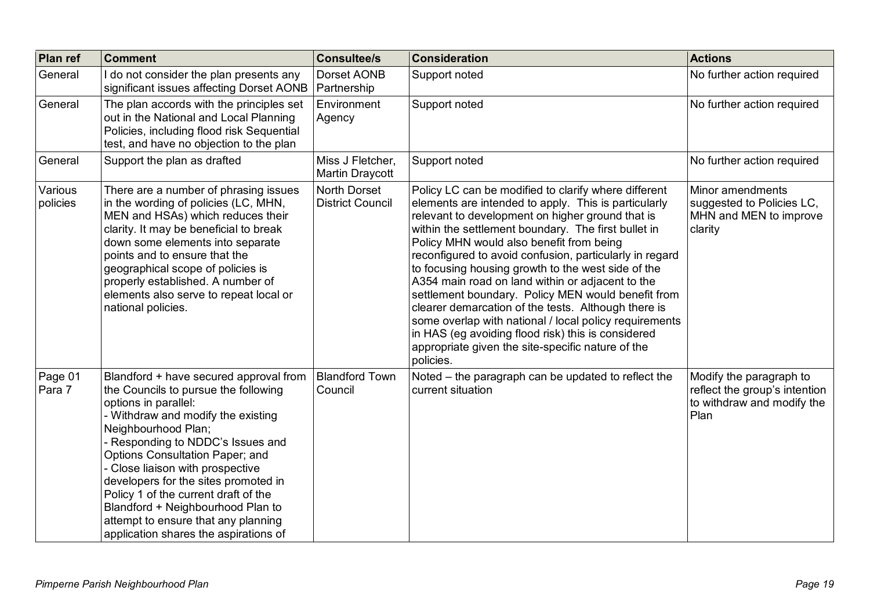| <b>Plan ref</b>     | <b>Comment</b>                                                                                                                                                                                                                                                                                                                                                                                                                                                                   | <b>Consultee/s</b>                      | <b>Consideration</b>                                                                                                                                                                                                                                                                                                                                                                                                                                                                                                                                                                                                                                                                                                                    | <b>Actions</b>                                                                                 |
|---------------------|----------------------------------------------------------------------------------------------------------------------------------------------------------------------------------------------------------------------------------------------------------------------------------------------------------------------------------------------------------------------------------------------------------------------------------------------------------------------------------|-----------------------------------------|-----------------------------------------------------------------------------------------------------------------------------------------------------------------------------------------------------------------------------------------------------------------------------------------------------------------------------------------------------------------------------------------------------------------------------------------------------------------------------------------------------------------------------------------------------------------------------------------------------------------------------------------------------------------------------------------------------------------------------------------|------------------------------------------------------------------------------------------------|
| General             | do not consider the plan presents any<br>significant issues affecting Dorset AONB                                                                                                                                                                                                                                                                                                                                                                                                | Dorset AONB<br>Partnership              | Support noted                                                                                                                                                                                                                                                                                                                                                                                                                                                                                                                                                                                                                                                                                                                           | No further action required                                                                     |
| General             | The plan accords with the principles set<br>out in the National and Local Planning<br>Policies, including flood risk Sequential<br>test, and have no objection to the plan                                                                                                                                                                                                                                                                                                       | Environment<br>Agency                   | Support noted                                                                                                                                                                                                                                                                                                                                                                                                                                                                                                                                                                                                                                                                                                                           | No further action required                                                                     |
| General             | Support the plan as drafted                                                                                                                                                                                                                                                                                                                                                                                                                                                      | Miss J Fletcher,<br>Martin Draycott     | Support noted                                                                                                                                                                                                                                                                                                                                                                                                                                                                                                                                                                                                                                                                                                                           | No further action required                                                                     |
| Various<br>policies | There are a number of phrasing issues<br>in the wording of policies (LC, MHN,<br>MEN and HSAs) which reduces their<br>clarity. It may be beneficial to break<br>down some elements into separate<br>points and to ensure that the<br>geographical scope of policies is<br>properly established. A number of<br>elements also serve to repeat local or<br>national policies.                                                                                                      | North Dorset<br><b>District Council</b> | Policy LC can be modified to clarify where different<br>elements are intended to apply. This is particularly<br>relevant to development on higher ground that is<br>within the settlement boundary. The first bullet in<br>Policy MHN would also benefit from being<br>reconfigured to avoid confusion, particularly in regard<br>to focusing housing growth to the west side of the<br>A354 main road on land within or adjacent to the<br>settlement boundary. Policy MEN would benefit from<br>clearer demarcation of the tests. Although there is<br>some overlap with national / local policy requirements<br>in HAS (eg avoiding flood risk) this is considered<br>appropriate given the site-specific nature of the<br>policies. | Minor amendments<br>suggested to Policies LC,<br>MHN and MEN to improve<br>clarity             |
| Page 01<br>Para 7   | Blandford + have secured approval from<br>the Councils to pursue the following<br>options in parallel:<br>Withdraw and modify the existing<br>Neighbourhood Plan;<br>Responding to NDDC's Issues and<br>Options Consultation Paper; and<br>- Close liaison with prospective<br>developers for the sites promoted in<br>Policy 1 of the current draft of the<br>Blandford + Neighbourhood Plan to<br>attempt to ensure that any planning<br>application shares the aspirations of | <b>Blandford Town</b><br>Council        | Noted - the paragraph can be updated to reflect the<br>current situation                                                                                                                                                                                                                                                                                                                                                                                                                                                                                                                                                                                                                                                                | Modify the paragraph to<br>reflect the group's intention<br>to withdraw and modify the<br>Plan |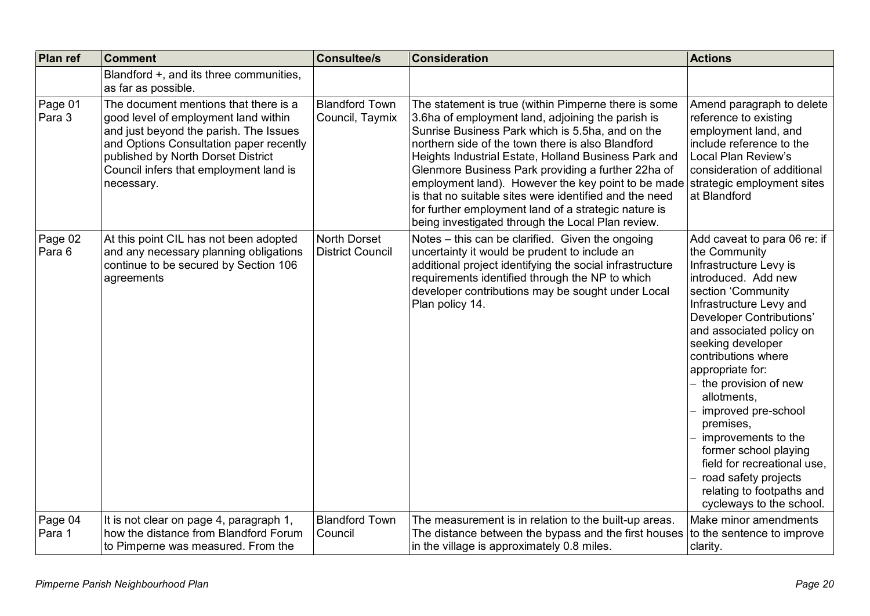| Plan ref          | <b>Comment</b>                                                                                                                                                                                                                                                   | <b>Consultee/s</b>                             | <b>Consideration</b>                                                                                                                                                                                                                                                                                                                                                                                                                                                                                                                                                                     | <b>Actions</b>                                                                                                                                                                                                                                                                                                                                                                                                                                                                                                       |
|-------------------|------------------------------------------------------------------------------------------------------------------------------------------------------------------------------------------------------------------------------------------------------------------|------------------------------------------------|------------------------------------------------------------------------------------------------------------------------------------------------------------------------------------------------------------------------------------------------------------------------------------------------------------------------------------------------------------------------------------------------------------------------------------------------------------------------------------------------------------------------------------------------------------------------------------------|----------------------------------------------------------------------------------------------------------------------------------------------------------------------------------------------------------------------------------------------------------------------------------------------------------------------------------------------------------------------------------------------------------------------------------------------------------------------------------------------------------------------|
|                   | Blandford +, and its three communities,<br>as far as possible.                                                                                                                                                                                                   |                                                |                                                                                                                                                                                                                                                                                                                                                                                                                                                                                                                                                                                          |                                                                                                                                                                                                                                                                                                                                                                                                                                                                                                                      |
| Page 01<br>Para 3 | The document mentions that there is a<br>good level of employment land within<br>and just beyond the parish. The Issues<br>and Options Consultation paper recently<br>published by North Dorset District<br>Council infers that employment land is<br>necessary. | <b>Blandford Town</b><br>Council, Taymix       | The statement is true (within Pimperne there is some<br>3.6ha of employment land, adjoining the parish is<br>Sunrise Business Park which is 5.5ha, and on the<br>northern side of the town there is also Blandford<br>Heights Industrial Estate, Holland Business Park and<br>Glenmore Business Park providing a further 22ha of<br>employment land). However the key point to be made strategic employment sites<br>is that no suitable sites were identified and the need<br>for further employment land of a strategic nature is<br>being investigated through the Local Plan review. | Amend paragraph to delete<br>reference to existing<br>employment land, and<br>include reference to the<br>Local Plan Review's<br>consideration of additional<br>at Blandford                                                                                                                                                                                                                                                                                                                                         |
| Page 02<br>Para 6 | At this point CIL has not been adopted<br>and any necessary planning obligations<br>continue to be secured by Section 106<br>agreements                                                                                                                          | <b>North Dorset</b><br><b>District Council</b> | Notes - this can be clarified. Given the ongoing<br>uncertainty it would be prudent to include an<br>additional project identifying the social infrastructure<br>requirements identified through the NP to which<br>developer contributions may be sought under Local<br>Plan policy 14.                                                                                                                                                                                                                                                                                                 | Add caveat to para 06 re: if<br>the Community<br>Infrastructure Levy is<br>introduced. Add new<br>section 'Community<br>Infrastructure Levy and<br>Developer Contributions'<br>and associated policy on<br>seeking developer<br>contributions where<br>appropriate for:<br>- the provision of new<br>allotments,<br>improved pre-school<br>premises,<br>improvements to the<br>former school playing<br>field for recreational use,<br>road safety projects<br>relating to footpaths and<br>cycleways to the school. |
| Page 04<br>Para 1 | It is not clear on page 4, paragraph 1,<br>how the distance from Blandford Forum<br>to Pimperne was measured. From the                                                                                                                                           | <b>Blandford Town</b><br>Council               | The measurement is in relation to the built-up areas.<br>The distance between the bypass and the first houses<br>in the village is approximately 0.8 miles.                                                                                                                                                                                                                                                                                                                                                                                                                              | Make minor amendments<br>to the sentence to improve<br>clarity.                                                                                                                                                                                                                                                                                                                                                                                                                                                      |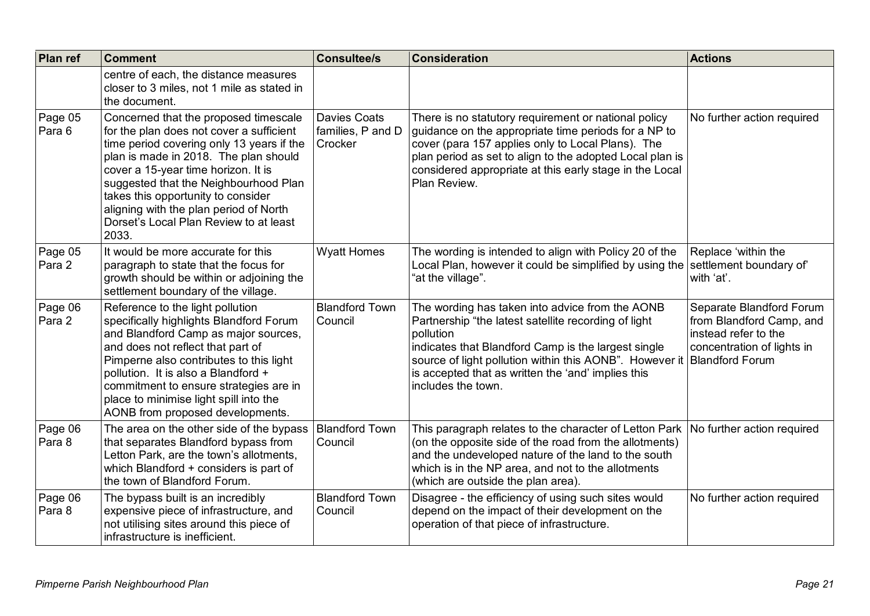| Plan ref          | <b>Comment</b>                                                                                                                                                                                                                                                                                                                                                                             | <b>Consultee/s</b>                                  | <b>Consideration</b>                                                                                                                                                                                                                                                                                                                 | <b>Actions</b>                                                                                             |
|-------------------|--------------------------------------------------------------------------------------------------------------------------------------------------------------------------------------------------------------------------------------------------------------------------------------------------------------------------------------------------------------------------------------------|-----------------------------------------------------|--------------------------------------------------------------------------------------------------------------------------------------------------------------------------------------------------------------------------------------------------------------------------------------------------------------------------------------|------------------------------------------------------------------------------------------------------------|
|                   | centre of each, the distance measures<br>closer to 3 miles, not 1 mile as stated in<br>the document.                                                                                                                                                                                                                                                                                       |                                                     |                                                                                                                                                                                                                                                                                                                                      |                                                                                                            |
| Page 05<br>Para 6 | Concerned that the proposed timescale<br>for the plan does not cover a sufficient<br>time period covering only 13 years if the<br>plan is made in 2018. The plan should<br>cover a 15-year time horizon. It is<br>suggested that the Neighbourhood Plan<br>takes this opportunity to consider<br>aligning with the plan period of North<br>Dorset's Local Plan Review to at least<br>2033. | <b>Davies Coats</b><br>families, P and D<br>Crocker | There is no statutory requirement or national policy<br>guidance on the appropriate time periods for a NP to<br>cover (para 157 applies only to Local Plans). The<br>plan period as set to align to the adopted Local plan is<br>considered appropriate at this early stage in the Local<br>Plan Review.                             | No further action required                                                                                 |
| Page 05<br>Para 2 | It would be more accurate for this<br>paragraph to state that the focus for<br>growth should be within or adjoining the<br>settlement boundary of the village.                                                                                                                                                                                                                             | <b>Wyatt Homes</b>                                  | The wording is intended to align with Policy 20 of the<br>Local Plan, however it could be simplified by using the<br>"at the village".                                                                                                                                                                                               | Replace 'within the<br>settlement boundary of<br>with 'at'.                                                |
| Page 06<br>Para 2 | Reference to the light pollution<br>specifically highlights Blandford Forum<br>and Blandford Camp as major sources,<br>and does not reflect that part of<br>Pimperne also contributes to this light<br>pollution. It is also a Blandford +<br>commitment to ensure strategies are in<br>place to minimise light spill into the<br>AONB from proposed developments.                         | <b>Blandford Town</b><br>Council                    | The wording has taken into advice from the AONB<br>Partnership "the latest satellite recording of light<br>pollution<br>indicates that Blandford Camp is the largest single<br>source of light pollution within this AONB". However it   Blandford Forum<br>is accepted that as written the 'and' implies this<br>includes the town. | Separate Blandford Forum<br>from Blandford Camp, and<br>instead refer to the<br>concentration of lights in |
| Page 06<br>Para 8 | The area on the other side of the bypass<br>that separates Blandford bypass from<br>Letton Park, are the town's allotments,<br>which Blandford + considers is part of<br>the town of Blandford Forum.                                                                                                                                                                                      | <b>Blandford Town</b><br>Council                    | This paragraph relates to the character of Letton Park<br>(on the opposite side of the road from the allotments)<br>and the undeveloped nature of the land to the south<br>which is in the NP area, and not to the allotments<br>(which are outside the plan area).                                                                  | No further action required                                                                                 |
| Page 06<br>Para 8 | The bypass built is an incredibly<br>expensive piece of infrastructure, and<br>not utilising sites around this piece of<br>infrastructure is inefficient.                                                                                                                                                                                                                                  | <b>Blandford Town</b><br>Council                    | Disagree - the efficiency of using such sites would<br>depend on the impact of their development on the<br>operation of that piece of infrastructure.                                                                                                                                                                                | No further action required                                                                                 |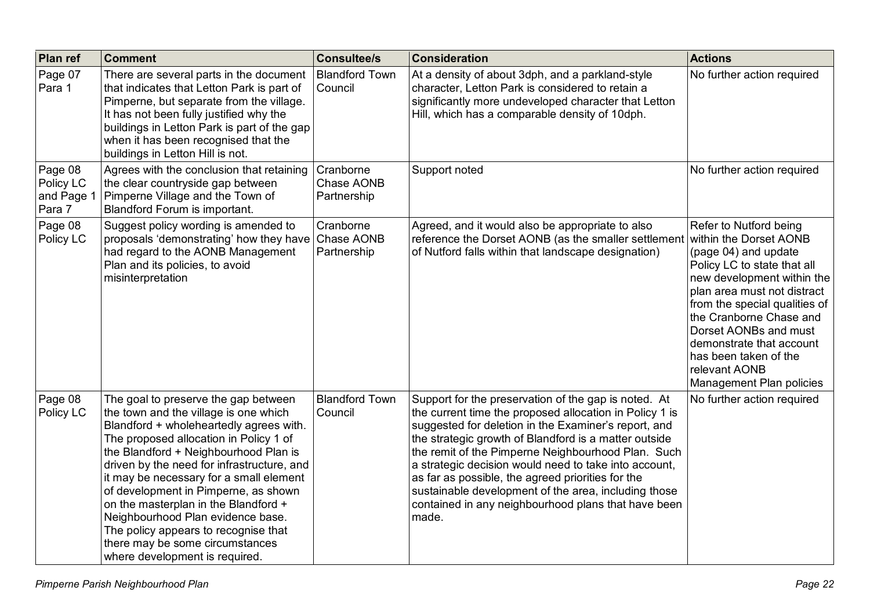| Plan ref                                     | <b>Comment</b>                                                                                                                                                                                                                                                                                                                                                                                                                                                                                                                         | <b>Consultee/s</b>                     | <b>Consideration</b>                                                                                                                                                                                                                                                                                                                                                                                                                                                                                                         | <b>Actions</b>                                                                                                                                                                                                                                                                                                                                              |
|----------------------------------------------|----------------------------------------------------------------------------------------------------------------------------------------------------------------------------------------------------------------------------------------------------------------------------------------------------------------------------------------------------------------------------------------------------------------------------------------------------------------------------------------------------------------------------------------|----------------------------------------|------------------------------------------------------------------------------------------------------------------------------------------------------------------------------------------------------------------------------------------------------------------------------------------------------------------------------------------------------------------------------------------------------------------------------------------------------------------------------------------------------------------------------|-------------------------------------------------------------------------------------------------------------------------------------------------------------------------------------------------------------------------------------------------------------------------------------------------------------------------------------------------------------|
| Page 07<br>Para 1                            | There are several parts in the document<br>that indicates that Letton Park is part of<br>Pimperne, but separate from the village.<br>It has not been fully justified why the<br>buildings in Letton Park is part of the gap<br>when it has been recognised that the<br>buildings in Letton Hill is not.                                                                                                                                                                                                                                | <b>Blandford Town</b><br>Council       | At a density of about 3dph, and a parkland-style<br>character, Letton Park is considered to retain a<br>significantly more undeveloped character that Letton<br>Hill, which has a comparable density of 10dph.                                                                                                                                                                                                                                                                                                               | No further action required                                                                                                                                                                                                                                                                                                                                  |
| Page 08<br>Policy LC<br>and Page 1<br>Para 7 | Agrees with the conclusion that retaining<br>the clear countryside gap between<br>Pimperne Village and the Town of<br>Blandford Forum is important.                                                                                                                                                                                                                                                                                                                                                                                    | Cranborne<br>Chase AONB<br>Partnership | Support noted                                                                                                                                                                                                                                                                                                                                                                                                                                                                                                                | No further action required                                                                                                                                                                                                                                                                                                                                  |
| Page 08<br>Policy LC                         | Suggest policy wording is amended to<br>proposals 'demonstrating' how they have Chase AONB<br>had regard to the AONB Management<br>Plan and its policies, to avoid<br>misinterpretation                                                                                                                                                                                                                                                                                                                                                | Cranborne<br>Partnership               | Agreed, and it would also be appropriate to also<br>reference the Dorset AONB (as the smaller settlement<br>of Nutford falls within that landscape designation)                                                                                                                                                                                                                                                                                                                                                              | Refer to Nutford being<br>within the Dorset AONB<br>(page 04) and update<br>Policy LC to state that all<br>new development within the<br>plan area must not distract<br>from the special qualities of<br>the Cranborne Chase and<br>Dorset AONBs and must<br>demonstrate that account<br>has been taken of the<br>relevant AONB<br>Management Plan policies |
| Page 08<br>Policy LC                         | The goal to preserve the gap between<br>the town and the village is one which<br>Blandford + wholeheartedly agrees with.<br>The proposed allocation in Policy 1 of<br>the Blandford + Neighbourhood Plan is<br>driven by the need for infrastructure, and<br>it may be necessary for a small element<br>of development in Pimperne, as shown<br>on the masterplan in the Blandford +<br>Neighbourhood Plan evidence base.<br>The policy appears to recognise that<br>there may be some circumstances<br>where development is required. | <b>Blandford Town</b><br>Council       | Support for the preservation of the gap is noted. At<br>the current time the proposed allocation in Policy 1 is<br>suggested for deletion in the Examiner's report, and<br>the strategic growth of Blandford is a matter outside<br>the remit of the Pimperne Neighbourhood Plan. Such<br>a strategic decision would need to take into account,<br>as far as possible, the agreed priorities for the<br>sustainable development of the area, including those<br>contained in any neighbourhood plans that have been<br>made. | No further action required                                                                                                                                                                                                                                                                                                                                  |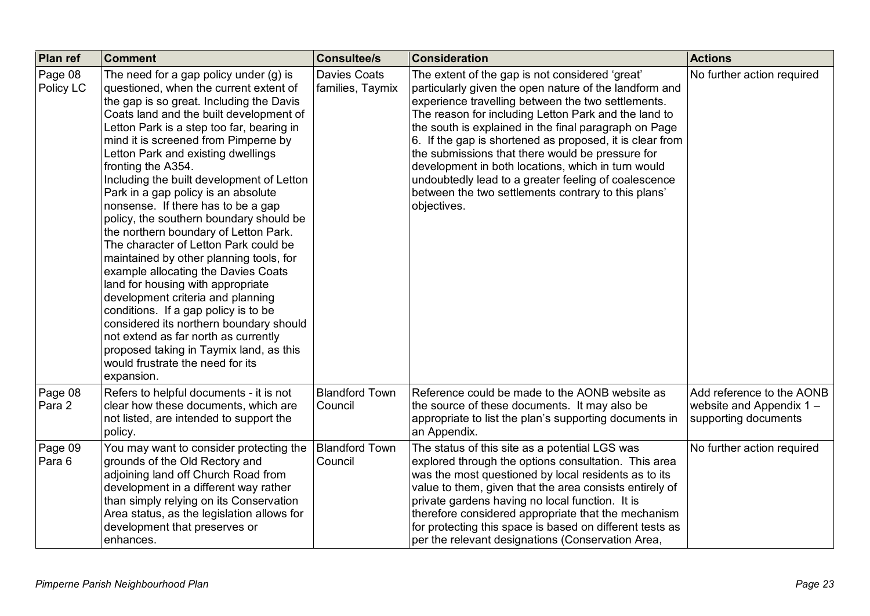| Plan ref             | <b>Comment</b>                                                                                                                                                                                                                                                                                                                                                                                                                                                                                                                                                                                                                                                                                                                                                                                                                                                                                                                                                        | <b>Consultee/s</b>                      | <b>Consideration</b>                                                                                                                                                                                                                                                                                                                                                                                                                                                                                                                                                                 | <b>Actions</b>                                                               |
|----------------------|-----------------------------------------------------------------------------------------------------------------------------------------------------------------------------------------------------------------------------------------------------------------------------------------------------------------------------------------------------------------------------------------------------------------------------------------------------------------------------------------------------------------------------------------------------------------------------------------------------------------------------------------------------------------------------------------------------------------------------------------------------------------------------------------------------------------------------------------------------------------------------------------------------------------------------------------------------------------------|-----------------------------------------|--------------------------------------------------------------------------------------------------------------------------------------------------------------------------------------------------------------------------------------------------------------------------------------------------------------------------------------------------------------------------------------------------------------------------------------------------------------------------------------------------------------------------------------------------------------------------------------|------------------------------------------------------------------------------|
| Page 08<br>Policy LC | The need for a gap policy under $(g)$ is<br>questioned, when the current extent of<br>the gap is so great. Including the Davis<br>Coats land and the built development of<br>Letton Park is a step too far, bearing in<br>mind it is screened from Pimperne by<br>Letton Park and existing dwellings<br>fronting the A354.<br>Including the built development of Letton<br>Park in a gap policy is an absolute<br>nonsense. If there has to be a gap<br>policy, the southern boundary should be<br>the northern boundary of Letton Park.<br>The character of Letton Park could be<br>maintained by other planning tools, for<br>example allocating the Davies Coats<br>land for housing with appropriate<br>development criteria and planning<br>conditions. If a gap policy is to be<br>considered its northern boundary should<br>not extend as far north as currently<br>proposed taking in Taymix land, as this<br>would frustrate the need for its<br>expansion. | <b>Davies Coats</b><br>families, Taymix | The extent of the gap is not considered 'great'<br>particularly given the open nature of the landform and<br>experience travelling between the two settlements.<br>The reason for including Letton Park and the land to<br>the south is explained in the final paragraph on Page<br>6. If the gap is shortened as proposed, it is clear from<br>the submissions that there would be pressure for<br>development in both locations, which in turn would<br>undoubtedly lead to a greater feeling of coalescence<br>between the two settlements contrary to this plans'<br>objectives. | No further action required                                                   |
| Page 08<br>Para 2    | Refers to helpful documents - it is not<br>clear how these documents, which are<br>not listed, are intended to support the<br>policy.                                                                                                                                                                                                                                                                                                                                                                                                                                                                                                                                                                                                                                                                                                                                                                                                                                 | <b>Blandford Town</b><br>Council        | Reference could be made to the AONB website as<br>the source of these documents. It may also be<br>appropriate to list the plan's supporting documents in<br>an Appendix.                                                                                                                                                                                                                                                                                                                                                                                                            | Add reference to the AONB<br>website and Appendix 1-<br>supporting documents |
| Page 09<br>Para 6    | You may want to consider protecting the<br>grounds of the Old Rectory and<br>adjoining land off Church Road from<br>development in a different way rather<br>than simply relying on its Conservation<br>Area status, as the legislation allows for<br>development that preserves or<br>enhances.                                                                                                                                                                                                                                                                                                                                                                                                                                                                                                                                                                                                                                                                      | <b>Blandford Town</b><br>Council        | The status of this site as a potential LGS was<br>explored through the options consultation. This area<br>was the most questioned by local residents as to its<br>value to them, given that the area consists entirely of<br>private gardens having no local function. It is<br>therefore considered appropriate that the mechanism<br>for protecting this space is based on different tests as<br>per the relevant designations (Conservation Area,                                                                                                                                 | No further action required                                                   |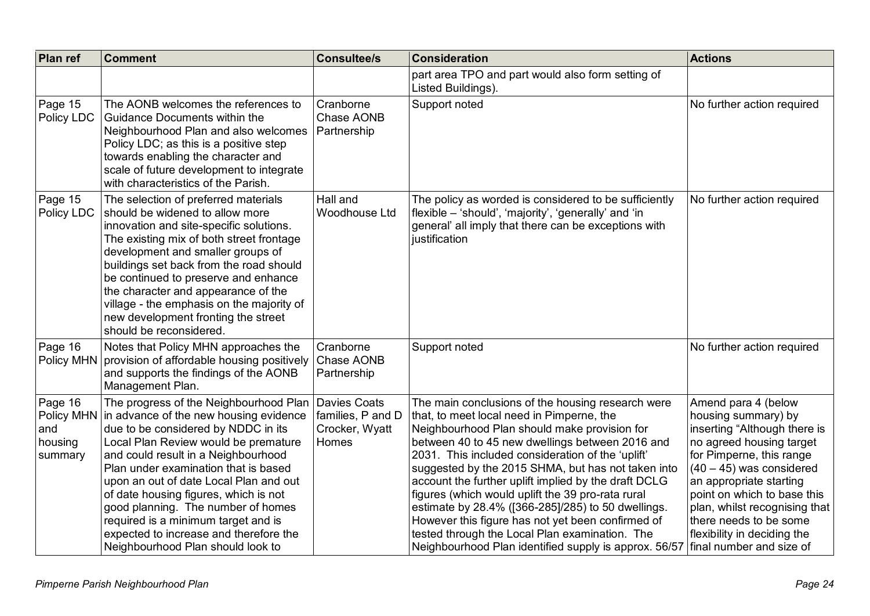| <b>Plan ref</b>                                    | <b>Comment</b>                                                                                                                                                                                                                                                                                                                                                                                                                                                                                | <b>Consultee/s</b>                                           | <b>Consideration</b>                                                                                                                                                                                                                                                                                                                                                                                                                                                                                                                                                                                                                            | <b>Actions</b>                                                                                                                                                                                                                                                                                                                                   |
|----------------------------------------------------|-----------------------------------------------------------------------------------------------------------------------------------------------------------------------------------------------------------------------------------------------------------------------------------------------------------------------------------------------------------------------------------------------------------------------------------------------------------------------------------------------|--------------------------------------------------------------|-------------------------------------------------------------------------------------------------------------------------------------------------------------------------------------------------------------------------------------------------------------------------------------------------------------------------------------------------------------------------------------------------------------------------------------------------------------------------------------------------------------------------------------------------------------------------------------------------------------------------------------------------|--------------------------------------------------------------------------------------------------------------------------------------------------------------------------------------------------------------------------------------------------------------------------------------------------------------------------------------------------|
|                                                    |                                                                                                                                                                                                                                                                                                                                                                                                                                                                                               |                                                              | part area TPO and part would also form setting of<br>Listed Buildings).                                                                                                                                                                                                                                                                                                                                                                                                                                                                                                                                                                         |                                                                                                                                                                                                                                                                                                                                                  |
| Page 15<br>Policy LDC                              | The AONB welcomes the references to<br>Guidance Documents within the<br>Neighbourhood Plan and also welcomes<br>Policy LDC; as this is a positive step<br>towards enabling the character and<br>scale of future development to integrate<br>with characteristics of the Parish.                                                                                                                                                                                                               | Cranborne<br>Chase AONB<br>Partnership                       | Support noted                                                                                                                                                                                                                                                                                                                                                                                                                                                                                                                                                                                                                                   | No further action required                                                                                                                                                                                                                                                                                                                       |
| Page 15<br>Policy LDC                              | The selection of preferred materials<br>should be widened to allow more<br>innovation and site-specific solutions.<br>The existing mix of both street frontage<br>development and smaller groups of<br>buildings set back from the road should<br>be continued to preserve and enhance<br>the character and appearance of the<br>village - the emphasis on the majority of<br>new development fronting the street<br>should be reconsidered.                                                  | Hall and<br>Woodhouse Ltd                                    | The policy as worded is considered to be sufficiently<br>flexible - 'should', 'majority', 'generally' and 'in<br>general' all imply that there can be exceptions with<br>justification                                                                                                                                                                                                                                                                                                                                                                                                                                                          | No further action required                                                                                                                                                                                                                                                                                                                       |
| Page 16<br>Policy MHN                              | Notes that Policy MHN approaches the<br>provision of affordable housing positively<br>and supports the findings of the AONB<br>Management Plan.                                                                                                                                                                                                                                                                                                                                               | Cranborne<br>Chase AONB<br>Partnership                       | Support noted                                                                                                                                                                                                                                                                                                                                                                                                                                                                                                                                                                                                                                   | No further action required                                                                                                                                                                                                                                                                                                                       |
| Page 16<br>Policy MHN<br>and<br>housing<br>summary | The progress of the Neighbourhood Plan<br>in advance of the new housing evidence<br>due to be considered by NDDC in its<br>Local Plan Review would be premature<br>and could result in a Neighbourhood<br>Plan under examination that is based<br>upon an out of date Local Plan and out<br>of date housing figures, which is not<br>good planning. The number of homes<br>required is a minimum target and is<br>expected to increase and therefore the<br>Neighbourhood Plan should look to | Davies Coats<br>families, P and D<br>Crocker, Wyatt<br>Homes | The main conclusions of the housing research were<br>that, to meet local need in Pimperne, the<br>Neighbourhood Plan should make provision for<br>between 40 to 45 new dwellings between 2016 and<br>2031. This included consideration of the 'uplift'<br>suggested by the 2015 SHMA, but has not taken into<br>account the further uplift implied by the draft DCLG<br>figures (which would uplift the 39 pro-rata rural<br>estimate by 28.4% ([366-285]/285) to 50 dwellings.<br>However this figure has not yet been confirmed of<br>tested through the Local Plan examination. The<br>Neighbourhood Plan identified supply is approx. 56/57 | Amend para 4 (below<br>housing summary) by<br>inserting "Although there is<br>no agreed housing target<br>for Pimperne, this range<br>$(40 - 45)$ was considered<br>an appropriate starting<br>point on which to base this<br>plan, whilst recognising that<br>there needs to be some<br>flexibility in deciding the<br>final number and size of |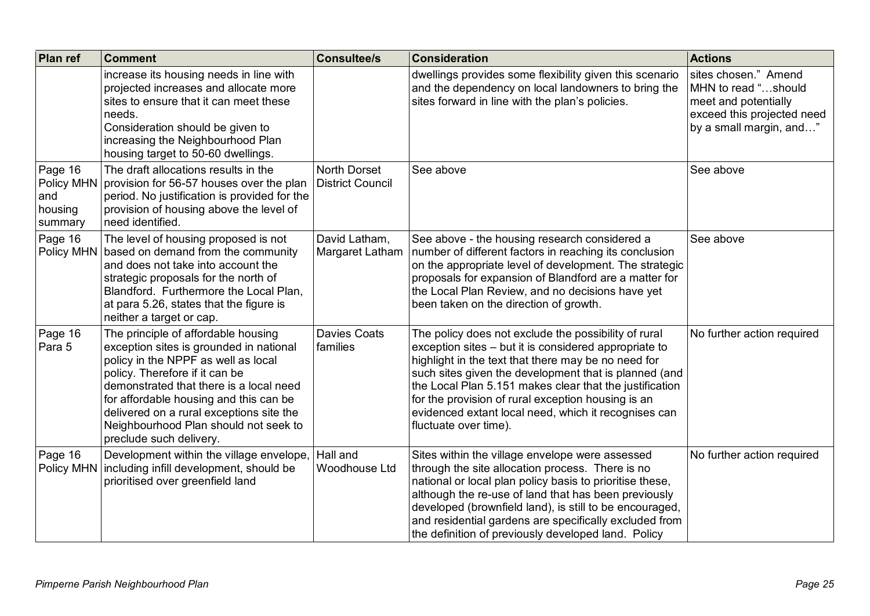| <b>Plan ref</b>                                    | <b>Comment</b>                                                                                                                                                                                                                                                                                                                                               | <b>Consultee/s</b>                      | <b>Consideration</b>                                                                                                                                                                                                                                                                                                                                                                                                            | <b>Actions</b>                                                                                                               |
|----------------------------------------------------|--------------------------------------------------------------------------------------------------------------------------------------------------------------------------------------------------------------------------------------------------------------------------------------------------------------------------------------------------------------|-----------------------------------------|---------------------------------------------------------------------------------------------------------------------------------------------------------------------------------------------------------------------------------------------------------------------------------------------------------------------------------------------------------------------------------------------------------------------------------|------------------------------------------------------------------------------------------------------------------------------|
|                                                    | increase its housing needs in line with<br>projected increases and allocate more<br>sites to ensure that it can meet these<br>needs.<br>Consideration should be given to<br>increasing the Neighbourhood Plan<br>housing target to 50-60 dwellings.                                                                                                          |                                         | dwellings provides some flexibility given this scenario<br>and the dependency on local landowners to bring the<br>sites forward in line with the plan's policies.                                                                                                                                                                                                                                                               | sites chosen." Amend<br>MHN to read "should<br>meet and potentially<br>exceed this projected need<br>by a small margin, and" |
| Page 16<br>Policy MHN<br>and<br>housing<br>summary | The draft allocations results in the<br>provision for 56-57 houses over the plan<br>period. No justification is provided for the<br>provision of housing above the level of<br>need identified.                                                                                                                                                              | North Dorset<br><b>District Council</b> | See above                                                                                                                                                                                                                                                                                                                                                                                                                       | See above                                                                                                                    |
| Page 16                                            | The level of housing proposed is not<br>Policy MHN   based on demand from the community<br>and does not take into account the<br>strategic proposals for the north of<br>Blandford. Furthermore the Local Plan,<br>at para 5.26, states that the figure is<br>neither a target or cap.                                                                       | David Latham,<br>Margaret Latham        | See above - the housing research considered a<br>number of different factors in reaching its conclusion<br>on the appropriate level of development. The strategic<br>proposals for expansion of Blandford are a matter for<br>the Local Plan Review, and no decisions have yet<br>been taken on the direction of growth.                                                                                                        | See above                                                                                                                    |
| Page 16<br>Para 5                                  | The principle of affordable housing<br>exception sites is grounded in national<br>policy in the NPPF as well as local<br>policy. Therefore if it can be<br>demonstrated that there is a local need<br>for affordable housing and this can be<br>delivered on a rural exceptions site the<br>Neighbourhood Plan should not seek to<br>preclude such delivery. | <b>Davies Coats</b><br>families         | The policy does not exclude the possibility of rural<br>exception sites – but it is considered appropriate to<br>highlight in the text that there may be no need for<br>such sites given the development that is planned (and<br>the Local Plan 5.151 makes clear that the justification<br>for the provision of rural exception housing is an<br>evidenced extant local need, which it recognises can<br>fluctuate over time). | No further action required                                                                                                   |
| Page 16<br>Policy MHN                              | Development within the village envelope,<br>including infill development, should be<br>prioritised over greenfield land                                                                                                                                                                                                                                      | Hall and<br>Woodhouse Ltd               | Sites within the village envelope were assessed<br>through the site allocation process. There is no<br>national or local plan policy basis to prioritise these,<br>although the re-use of land that has been previously<br>developed (brownfield land), is still to be encouraged,<br>and residential gardens are specifically excluded from<br>the definition of previously developed land. Policy                             | No further action required                                                                                                   |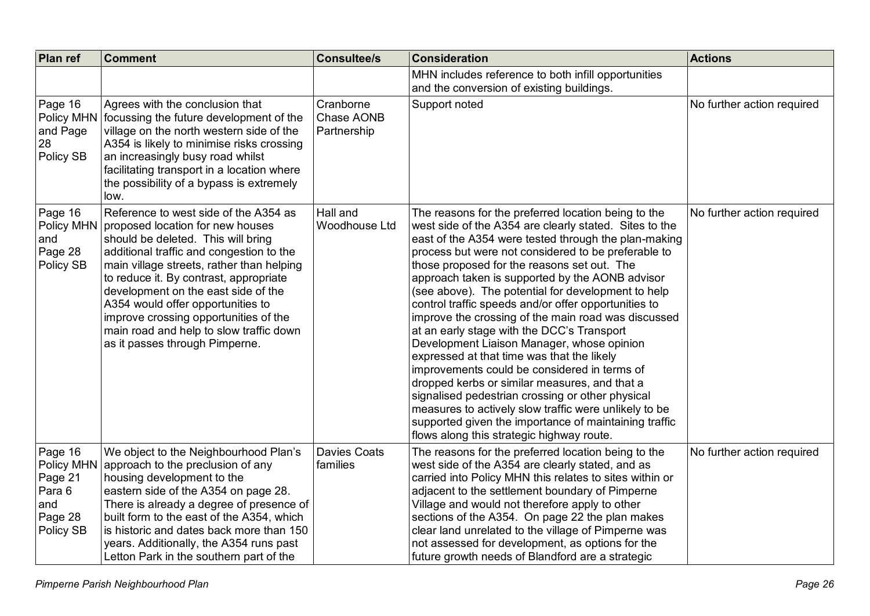| <b>Plan ref</b>                                                           | <b>Comment</b>                                                                                                                                                                                                                                                                                                                                                                                                                                       | <b>Consultee/s</b>                     | <b>Consideration</b>                                                                                                                                                                                                                                                                                                                                                                                                                                                                                                                                                                                                                                                                                                                                                                                                                                                                                                                                              | <b>Actions</b>             |
|---------------------------------------------------------------------------|------------------------------------------------------------------------------------------------------------------------------------------------------------------------------------------------------------------------------------------------------------------------------------------------------------------------------------------------------------------------------------------------------------------------------------------------------|----------------------------------------|-------------------------------------------------------------------------------------------------------------------------------------------------------------------------------------------------------------------------------------------------------------------------------------------------------------------------------------------------------------------------------------------------------------------------------------------------------------------------------------------------------------------------------------------------------------------------------------------------------------------------------------------------------------------------------------------------------------------------------------------------------------------------------------------------------------------------------------------------------------------------------------------------------------------------------------------------------------------|----------------------------|
|                                                                           |                                                                                                                                                                                                                                                                                                                                                                                                                                                      |                                        | MHN includes reference to both infill opportunities<br>and the conversion of existing buildings.                                                                                                                                                                                                                                                                                                                                                                                                                                                                                                                                                                                                                                                                                                                                                                                                                                                                  |                            |
| Page 16<br>Policy MHN<br>and Page<br>28<br>Policy SB                      | Agrees with the conclusion that<br>focussing the future development of the<br>village on the north western side of the<br>A354 is likely to minimise risks crossing<br>an increasingly busy road whilst<br>facilitating transport in a location where<br>the possibility of a bypass is extremely<br>low.                                                                                                                                            | Cranborne<br>Chase AONB<br>Partnership | Support noted                                                                                                                                                                                                                                                                                                                                                                                                                                                                                                                                                                                                                                                                                                                                                                                                                                                                                                                                                     | No further action required |
| Page 16<br>Policy MHN<br>and<br>Page 28<br>Policy SB                      | Reference to west side of the A354 as<br>proposed location for new houses<br>should be deleted. This will bring<br>additional traffic and congestion to the<br>main village streets, rather than helping<br>to reduce it. By contrast, appropriate<br>development on the east side of the<br>A354 would offer opportunities to<br>improve crossing opportunities of the<br>main road and help to slow traffic down<br>as it passes through Pimperne. | Hall and<br>Woodhouse Ltd              | The reasons for the preferred location being to the<br>west side of the A354 are clearly stated. Sites to the<br>east of the A354 were tested through the plan-making<br>process but were not considered to be preferable to<br>those proposed for the reasons set out. The<br>approach taken is supported by the AONB advisor<br>(see above). The potential for development to help<br>control traffic speeds and/or offer opportunities to<br>improve the crossing of the main road was discussed<br>at an early stage with the DCC's Transport<br>Development Liaison Manager, whose opinion<br>expressed at that time was that the likely<br>improvements could be considered in terms of<br>dropped kerbs or similar measures, and that a<br>signalised pedestrian crossing or other physical<br>measures to actively slow traffic were unlikely to be<br>supported given the importance of maintaining traffic<br>flows along this strategic highway route. | No further action required |
| Page 16<br>Policy MHN<br>Page 21<br>Para 6<br>and<br>Page 28<br>Policy SB | We object to the Neighbourhood Plan's<br>approach to the preclusion of any<br>housing development to the<br>eastern side of the A354 on page 28.<br>There is already a degree of presence of<br>built form to the east of the A354, which<br>is historic and dates back more than 150<br>years. Additionally, the A354 runs past<br>Letton Park in the southern part of the                                                                          | <b>Davies Coats</b><br>families        | The reasons for the preferred location being to the<br>west side of the A354 are clearly stated, and as<br>carried into Policy MHN this relates to sites within or<br>adjacent to the settlement boundary of Pimperne<br>Village and would not therefore apply to other<br>sections of the A354. On page 22 the plan makes<br>clear land unrelated to the village of Pimperne was<br>not assessed for development, as options for the<br>future growth needs of Blandford are a strategic                                                                                                                                                                                                                                                                                                                                                                                                                                                                         | No further action required |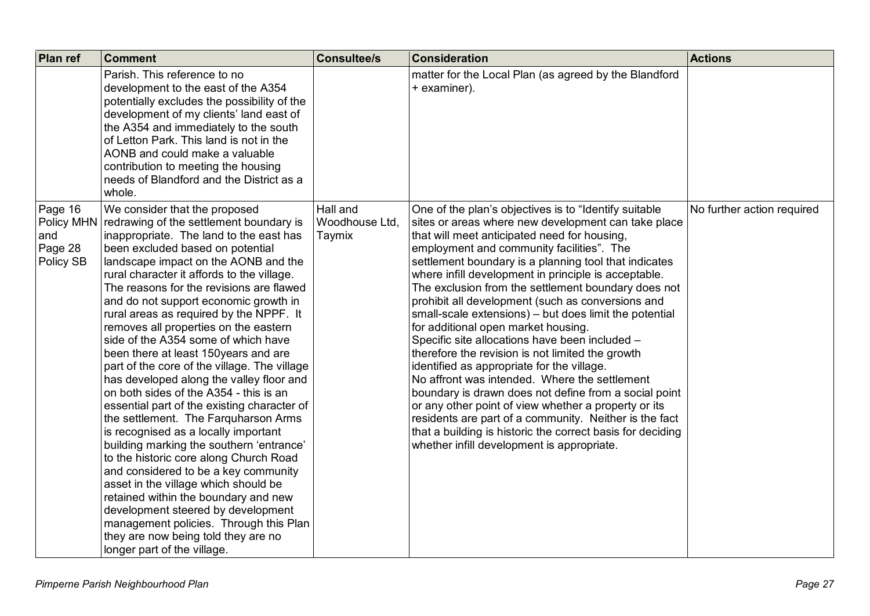| Plan ref                                             | <b>Comment</b>                                                                                                                                                                                                                                                                                                                                                                                                                                                                                                                                                                                                                                                                                                                                                                                                                                                                                                                                                                                                                                                                                                                                 | <b>Consultee/s</b>                   | <b>Consideration</b>                                                                                                                                                                                                                                                                                                                                                                                                                                                                                                                                                                                                                                                                                                                                                                                                                                                                                                                                                                                                                 | <b>Actions</b>             |
|------------------------------------------------------|------------------------------------------------------------------------------------------------------------------------------------------------------------------------------------------------------------------------------------------------------------------------------------------------------------------------------------------------------------------------------------------------------------------------------------------------------------------------------------------------------------------------------------------------------------------------------------------------------------------------------------------------------------------------------------------------------------------------------------------------------------------------------------------------------------------------------------------------------------------------------------------------------------------------------------------------------------------------------------------------------------------------------------------------------------------------------------------------------------------------------------------------|--------------------------------------|--------------------------------------------------------------------------------------------------------------------------------------------------------------------------------------------------------------------------------------------------------------------------------------------------------------------------------------------------------------------------------------------------------------------------------------------------------------------------------------------------------------------------------------------------------------------------------------------------------------------------------------------------------------------------------------------------------------------------------------------------------------------------------------------------------------------------------------------------------------------------------------------------------------------------------------------------------------------------------------------------------------------------------------|----------------------------|
|                                                      | Parish. This reference to no<br>development to the east of the A354<br>potentially excludes the possibility of the<br>development of my clients' land east of<br>the A354 and immediately to the south<br>of Letton Park. This land is not in the<br>AONB and could make a valuable<br>contribution to meeting the housing<br>needs of Blandford and the District as a<br>whole.                                                                                                                                                                                                                                                                                                                                                                                                                                                                                                                                                                                                                                                                                                                                                               |                                      | matter for the Local Plan (as agreed by the Blandford<br>+ examiner).                                                                                                                                                                                                                                                                                                                                                                                                                                                                                                                                                                                                                                                                                                                                                                                                                                                                                                                                                                |                            |
| Page 16<br>Policy MHN<br>and<br>Page 28<br>Policy SB | We consider that the proposed<br>redrawing of the settlement boundary is<br>inappropriate. The land to the east has<br>been excluded based on potential<br>landscape impact on the AONB and the<br>rural character it affords to the village.<br>The reasons for the revisions are flawed<br>and do not support economic growth in<br>rural areas as required by the NPPF. It<br>removes all properties on the eastern<br>side of the A354 some of which have<br>been there at least 150years and are<br>part of the core of the village. The village<br>has developed along the valley floor and<br>on both sides of the A354 - this is an<br>essential part of the existing character of<br>the settlement. The Farquharson Arms<br>is recognised as a locally important<br>building marking the southern 'entrance'<br>to the historic core along Church Road<br>and considered to be a key community<br>asset in the village which should be<br>retained within the boundary and new<br>development steered by development<br>management policies. Through this Plan<br>they are now being told they are no<br>longer part of the village. | Hall and<br>Woodhouse Ltd.<br>Taymix | One of the plan's objectives is to "Identify suitable"<br>sites or areas where new development can take place<br>that will meet anticipated need for housing,<br>employment and community facilities". The<br>settlement boundary is a planning tool that indicates<br>where infill development in principle is acceptable.<br>The exclusion from the settlement boundary does not<br>prohibit all development (such as conversions and<br>small-scale extensions) – but does limit the potential<br>for additional open market housing.<br>Specific site allocations have been included -<br>therefore the revision is not limited the growth<br>identified as appropriate for the village.<br>No affront was intended. Where the settlement<br>boundary is drawn does not define from a social point<br>or any other point of view whether a property or its<br>residents are part of a community. Neither is the fact<br>that a building is historic the correct basis for deciding<br>whether infill development is appropriate. | No further action required |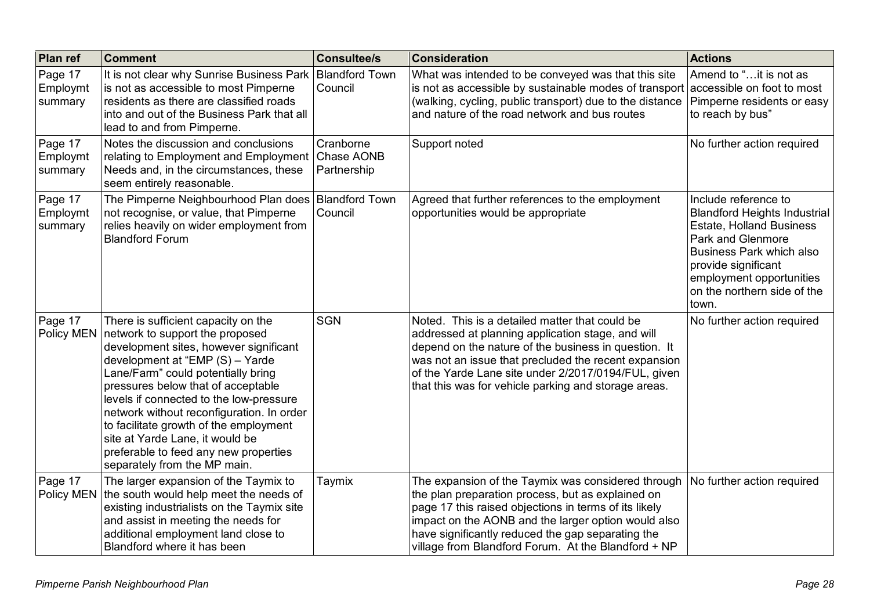| Plan ref                       | <b>Comment</b>                                                                                                                                                                                                                                                                                                                                                                                                                                                                | <b>Consultee/s</b>                     | <b>Consideration</b>                                                                                                                                                                                                                                                                                                                | <b>Actions</b>                                                                                                                                                                                                                                    |
|--------------------------------|-------------------------------------------------------------------------------------------------------------------------------------------------------------------------------------------------------------------------------------------------------------------------------------------------------------------------------------------------------------------------------------------------------------------------------------------------------------------------------|----------------------------------------|-------------------------------------------------------------------------------------------------------------------------------------------------------------------------------------------------------------------------------------------------------------------------------------------------------------------------------------|---------------------------------------------------------------------------------------------------------------------------------------------------------------------------------------------------------------------------------------------------|
| Page 17<br>Employmt<br>summary | It is not clear why Sunrise Business Park<br>is not as accessible to most Pimperne<br>residents as there are classified roads<br>into and out of the Business Park that all<br>lead to and from Pimperne.                                                                                                                                                                                                                                                                     | <b>Blandford Town</b><br>Council       | What was intended to be conveyed was that this site<br>is not as accessible by sustainable modes of transport accessible on foot to most<br>(walking, cycling, public transport) due to the distance   Pimperne residents or easy<br>and nature of the road network and bus routes                                                  | Amend to "it is not as<br>to reach by bus"                                                                                                                                                                                                        |
| Page 17<br>Employmt<br>summary | Notes the discussion and conclusions<br>relating to Employment and Employment<br>Needs and, in the circumstances, these<br>seem entirely reasonable.                                                                                                                                                                                                                                                                                                                          | Cranborne<br>Chase AONB<br>Partnership | Support noted                                                                                                                                                                                                                                                                                                                       | No further action required                                                                                                                                                                                                                        |
| Page 17<br>Employmt<br>summary | The Pimperne Neighbourhood Plan does<br>not recognise, or value, that Pimperne<br>relies heavily on wider employment from<br><b>Blandford Forum</b>                                                                                                                                                                                                                                                                                                                           | <b>Blandford Town</b><br>Council       | Agreed that further references to the employment<br>opportunities would be appropriate                                                                                                                                                                                                                                              | Include reference to<br><b>Blandford Heights Industrial</b><br><b>Estate, Holland Business</b><br>Park and Glenmore<br><b>Business Park which also</b><br>provide significant<br>employment opportunities<br>on the northern side of the<br>town. |
| Page 17<br>Policy MEN          | There is sufficient capacity on the<br>network to support the proposed<br>development sites, however significant<br>development at "EMP (S) - Yarde<br>Lane/Farm" could potentially bring<br>pressures below that of acceptable<br>levels if connected to the low-pressure<br>network without reconfiguration. In order<br>to facilitate growth of the employment<br>site at Yarde Lane, it would be<br>preferable to feed any new properties<br>separately from the MP main. | <b>SGN</b>                             | Noted. This is a detailed matter that could be<br>addressed at planning application stage, and will<br>depend on the nature of the business in question. It<br>was not an issue that precluded the recent expansion<br>of the Yarde Lane site under 2/2017/0194/FUL, given<br>that this was for vehicle parking and storage areas.  | No further action required                                                                                                                                                                                                                        |
| Page 17<br>Policy MEN          | The larger expansion of the Taymix to<br>the south would help meet the needs of<br>existing industrialists on the Taymix site<br>and assist in meeting the needs for<br>additional employment land close to<br>Blandford where it has been                                                                                                                                                                                                                                    | Taymix                                 | The expansion of the Taymix was considered through<br>the plan preparation process, but as explained on<br>page 17 this raised objections in terms of its likely<br>impact on the AONB and the larger option would also<br>have significantly reduced the gap separating the<br>village from Blandford Forum. At the Blandford + NP | No further action required                                                                                                                                                                                                                        |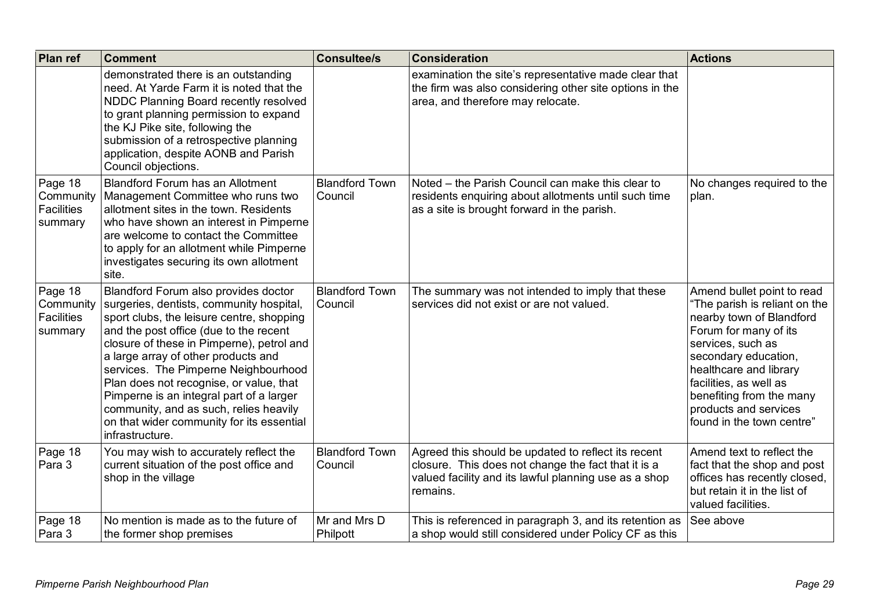| Plan ref                                             | <b>Comment</b>                                                                                                                                                                                                                                                                                                                                                                                                                                                                                       | <b>Consultee/s</b>               | <b>Consideration</b>                                                                                                                                                                            | <b>Actions</b>                                                                                                                                                                                                                                                                                      |
|------------------------------------------------------|------------------------------------------------------------------------------------------------------------------------------------------------------------------------------------------------------------------------------------------------------------------------------------------------------------------------------------------------------------------------------------------------------------------------------------------------------------------------------------------------------|----------------------------------|-------------------------------------------------------------------------------------------------------------------------------------------------------------------------------------------------|-----------------------------------------------------------------------------------------------------------------------------------------------------------------------------------------------------------------------------------------------------------------------------------------------------|
|                                                      | demonstrated there is an outstanding<br>need. At Yarde Farm it is noted that the<br>NDDC Planning Board recently resolved<br>to grant planning permission to expand<br>the KJ Pike site, following the<br>submission of a retrospective planning<br>application, despite AONB and Parish<br>Council objections.                                                                                                                                                                                      |                                  | examination the site's representative made clear that<br>the firm was also considering other site options in the<br>area, and therefore may relocate.                                           |                                                                                                                                                                                                                                                                                                     |
| Page 18<br>Community<br><b>Facilities</b><br>summary | <b>Blandford Forum has an Allotment</b><br>Management Committee who runs two<br>allotment sites in the town. Residents<br>who have shown an interest in Pimperne<br>are welcome to contact the Committee<br>to apply for an allotment while Pimperne<br>investigates securing its own allotment<br>site.                                                                                                                                                                                             | <b>Blandford Town</b><br>Council | Noted – the Parish Council can make this clear to<br>No changes required to the<br>residents enquiring about allotments until such time<br>plan.<br>as a site is brought forward in the parish. |                                                                                                                                                                                                                                                                                                     |
| Page 18<br>Community<br><b>Facilities</b><br>summary | Blandford Forum also provides doctor<br>surgeries, dentists, community hospital,<br>sport clubs, the leisure centre, shopping<br>and the post office (due to the recent<br>closure of these in Pimperne), petrol and<br>a large array of other products and<br>services. The Pimperne Neighbourhood<br>Plan does not recognise, or value, that<br>Pimperne is an integral part of a larger<br>community, and as such, relies heavily<br>on that wider community for its essential<br>infrastructure. | <b>Blandford Town</b><br>Council | The summary was not intended to imply that these<br>services did not exist or are not valued.                                                                                                   | Amend bullet point to read<br>"The parish is reliant on the<br>nearby town of Blandford<br>Forum for many of its<br>services, such as<br>secondary education,<br>healthcare and library<br>facilities, as well as<br>benefiting from the many<br>products and services<br>found in the town centre" |
| Page 18<br>Para 3                                    | You may wish to accurately reflect the<br>current situation of the post office and<br>shop in the village                                                                                                                                                                                                                                                                                                                                                                                            | <b>Blandford Town</b><br>Council | Agreed this should be updated to reflect its recent<br>closure. This does not change the fact that it is a<br>valued facility and its lawful planning use as a shop<br>remains.                 | Amend text to reflect the<br>fact that the shop and post<br>offices has recently closed,<br>but retain it in the list of<br>valued facilities.                                                                                                                                                      |
| Page 18<br>Para 3                                    | No mention is made as to the future of<br>the former shop premises                                                                                                                                                                                                                                                                                                                                                                                                                                   | Mr and Mrs D<br>Philpott         | This is referenced in paragraph 3, and its retention as<br>a shop would still considered under Policy CF as this                                                                                | See above                                                                                                                                                                                                                                                                                           |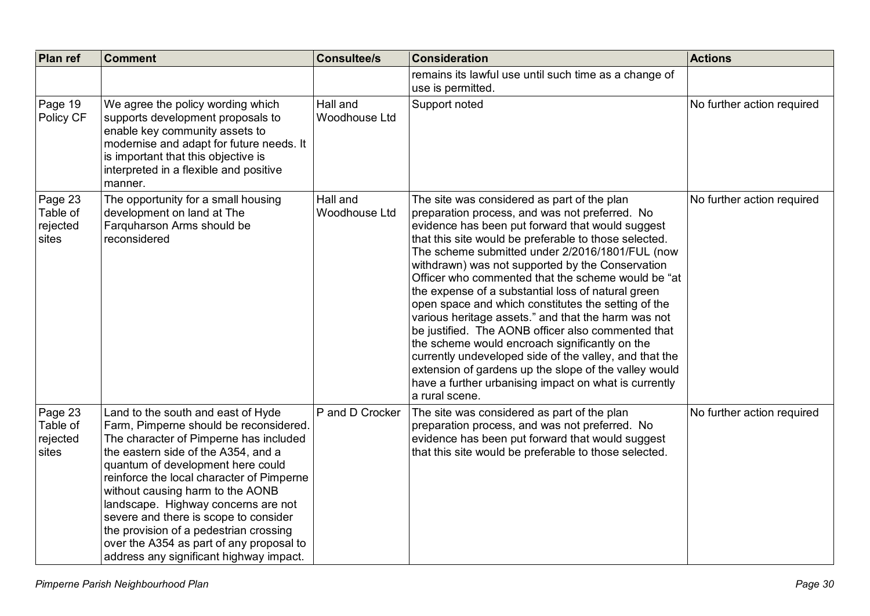| Plan ref                                 | <b>Comment</b>                                                                                                                                                                                                                                                                                                                                                                                                                                                                                       | <b>Consultee/s</b>               | <b>Consideration</b>                                                                                                                                                                                                                                                                                                                                                                                                                                                                                                                                                                                                                                                                                                                                                                                                                              | <b>Actions</b>             |
|------------------------------------------|------------------------------------------------------------------------------------------------------------------------------------------------------------------------------------------------------------------------------------------------------------------------------------------------------------------------------------------------------------------------------------------------------------------------------------------------------------------------------------------------------|----------------------------------|---------------------------------------------------------------------------------------------------------------------------------------------------------------------------------------------------------------------------------------------------------------------------------------------------------------------------------------------------------------------------------------------------------------------------------------------------------------------------------------------------------------------------------------------------------------------------------------------------------------------------------------------------------------------------------------------------------------------------------------------------------------------------------------------------------------------------------------------------|----------------------------|
|                                          |                                                                                                                                                                                                                                                                                                                                                                                                                                                                                                      |                                  | remains its lawful use until such time as a change of<br>use is permitted.                                                                                                                                                                                                                                                                                                                                                                                                                                                                                                                                                                                                                                                                                                                                                                        |                            |
| Page 19<br>Policy CF                     | We agree the policy wording which<br>supports development proposals to<br>enable key community assets to<br>modernise and adapt for future needs. It<br>is important that this objective is<br>interpreted in a flexible and positive<br>manner.                                                                                                                                                                                                                                                     | Hall and<br>Woodhouse Ltd        | Support noted                                                                                                                                                                                                                                                                                                                                                                                                                                                                                                                                                                                                                                                                                                                                                                                                                                     | No further action required |
| Page 23<br>Table of<br>rejected<br>sites | The opportunity for a small housing<br>development on land at The<br>Farquharson Arms should be<br>reconsidered                                                                                                                                                                                                                                                                                                                                                                                      | Hall and<br><b>Woodhouse Ltd</b> | The site was considered as part of the plan<br>preparation process, and was not preferred. No<br>evidence has been put forward that would suggest<br>that this site would be preferable to those selected.<br>The scheme submitted under 2/2016/1801/FUL (now<br>withdrawn) was not supported by the Conservation<br>Officer who commented that the scheme would be "at<br>the expense of a substantial loss of natural green<br>open space and which constitutes the setting of the<br>various heritage assets." and that the harm was not<br>be justified. The AONB officer also commented that<br>the scheme would encroach significantly on the<br>currently undeveloped side of the valley, and that the<br>extension of gardens up the slope of the valley would<br>have a further urbanising impact on what is currently<br>a rural scene. | No further action required |
| Page 23<br>Table of<br>rejected<br>sites | Land to the south and east of Hyde<br>Farm, Pimperne should be reconsidered.<br>The character of Pimperne has included<br>the eastern side of the A354, and a<br>quantum of development here could<br>reinforce the local character of Pimperne<br>without causing harm to the AONB<br>landscape. Highway concerns are not<br>severe and there is scope to consider<br>the provision of a pedestrian crossing<br>over the A354 as part of any proposal to<br>address any significant highway impact. | P and D Crocker                  | The site was considered as part of the plan<br>preparation process, and was not preferred. No<br>evidence has been put forward that would suggest<br>that this site would be preferable to those selected.                                                                                                                                                                                                                                                                                                                                                                                                                                                                                                                                                                                                                                        | No further action required |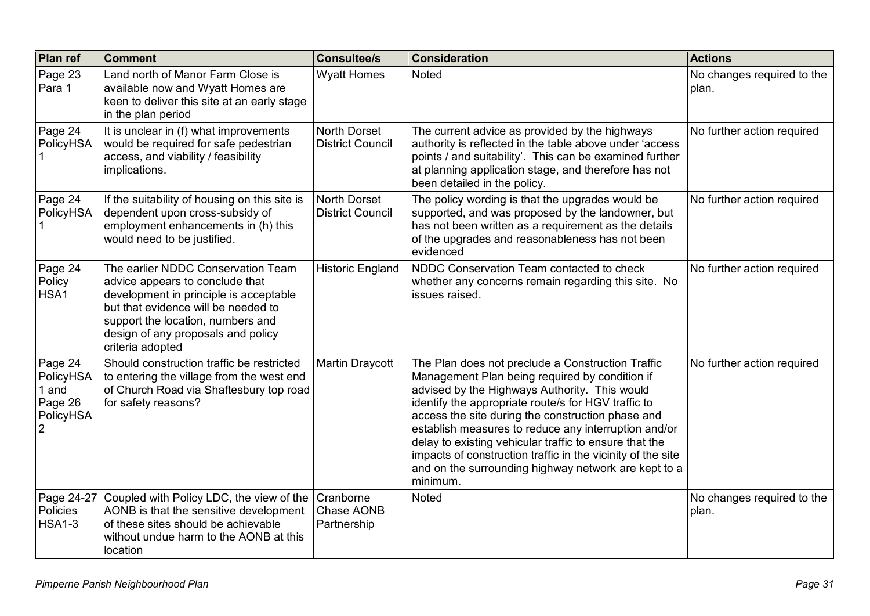| Plan ref                                                                | <b>Comment</b>                                                                                                                                                                                                                                        | <b>Consultee/s</b>                      | <b>Consideration</b>                                                                                                                                                                                                                                                                                                                                                                                                                                                                                                  | <b>Actions</b>                      |
|-------------------------------------------------------------------------|-------------------------------------------------------------------------------------------------------------------------------------------------------------------------------------------------------------------------------------------------------|-----------------------------------------|-----------------------------------------------------------------------------------------------------------------------------------------------------------------------------------------------------------------------------------------------------------------------------------------------------------------------------------------------------------------------------------------------------------------------------------------------------------------------------------------------------------------------|-------------------------------------|
| Page 23<br>Para 1                                                       | Land north of Manor Farm Close is<br>available now and Wyatt Homes are<br>keen to deliver this site at an early stage<br>in the plan period                                                                                                           | <b>Wyatt Homes</b>                      | <b>Noted</b>                                                                                                                                                                                                                                                                                                                                                                                                                                                                                                          | No changes required to the<br>plan. |
| Page 24<br>PolicyHSA                                                    | It is unclear in (f) what improvements<br>would be required for safe pedestrian<br>access, and viability / feasibility<br>implications.                                                                                                               | North Dorset<br><b>District Council</b> | The current advice as provided by the highways<br>authority is reflected in the table above under 'access<br>points / and suitability'. This can be examined further<br>at planning application stage, and therefore has not<br>been detailed in the policy.                                                                                                                                                                                                                                                          | No further action required          |
| Page 24<br>PolicyHSA                                                    | If the suitability of housing on this site is<br>dependent upon cross-subsidy of<br>employment enhancements in (h) this<br>would need to be justified.                                                                                                | North Dorset<br><b>District Council</b> | The policy wording is that the upgrades would be<br>supported, and was proposed by the landowner, but<br>has not been written as a requirement as the details<br>of the upgrades and reasonableness has not been<br>evidenced                                                                                                                                                                                                                                                                                         | No further action required          |
| Page 24<br>Policy<br>HSA1                                               | The earlier NDDC Conservation Team<br>advice appears to conclude that<br>development in principle is acceptable<br>but that evidence will be needed to<br>support the location, numbers and<br>design of any proposals and policy<br>criteria adopted | <b>Historic England</b>                 | NDDC Conservation Team contacted to check<br>whether any concerns remain regarding this site. No<br>issues raised.                                                                                                                                                                                                                                                                                                                                                                                                    | No further action required          |
| Page 24<br>PolicyHSA<br>1 and<br>Page 26<br>PolicyHSA<br>$\overline{2}$ | Should construction traffic be restricted<br>to entering the village from the west end<br>of Church Road via Shaftesbury top road<br>for safety reasons?                                                                                              | Martin Draycott                         | The Plan does not preclude a Construction Traffic<br>Management Plan being required by condition if<br>advised by the Highways Authority. This would<br>identify the appropriate route/s for HGV traffic to<br>access the site during the construction phase and<br>establish measures to reduce any interruption and/or<br>delay to existing vehicular traffic to ensure that the<br>impacts of construction traffic in the vicinity of the site<br>and on the surrounding highway network are kept to a<br>minimum. | No further action required          |
| Page 24-27<br>Policies<br><b>HSA1-3</b>                                 | Coupled with Policy LDC, the view of the<br>AONB is that the sensitive development<br>of these sites should be achievable<br>without undue harm to the AONB at this<br>location                                                                       | Cranborne<br>Chase AONB<br>Partnership  | <b>Noted</b>                                                                                                                                                                                                                                                                                                                                                                                                                                                                                                          | No changes required to the<br>plan. |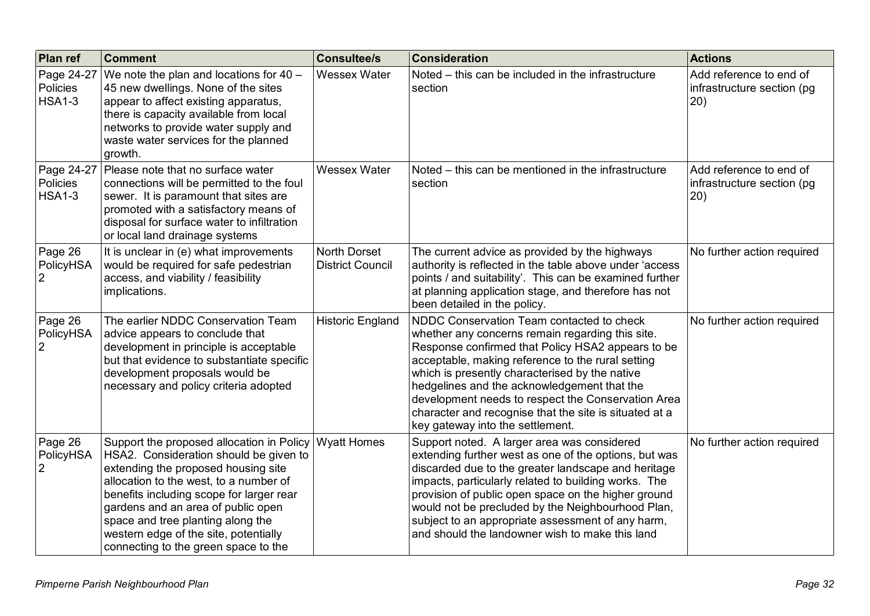| Plan ref                                | <b>Comment</b>                                                                                                                                                                                                                                                                                                                                                               | <b>Consultee/s</b>                                                                                                                                                                                                                                                                                                                                                                                                                                                                      | <b>Consideration</b>                                                                                                                                                                                                                                                                                                                                                                                                                    | <b>Actions</b>                                                |
|-----------------------------------------|------------------------------------------------------------------------------------------------------------------------------------------------------------------------------------------------------------------------------------------------------------------------------------------------------------------------------------------------------------------------------|-----------------------------------------------------------------------------------------------------------------------------------------------------------------------------------------------------------------------------------------------------------------------------------------------------------------------------------------------------------------------------------------------------------------------------------------------------------------------------------------|-----------------------------------------------------------------------------------------------------------------------------------------------------------------------------------------------------------------------------------------------------------------------------------------------------------------------------------------------------------------------------------------------------------------------------------------|---------------------------------------------------------------|
| Page 24-27<br>Policies<br><b>HSA1-3</b> | We note the plan and locations for $40 -$<br>45 new dwellings. None of the sites<br>appear to affect existing apparatus,<br>there is capacity available from local<br>networks to provide water supply and<br>waste water services for the planned<br>growth.                                                                                                                | <b>Wessex Water</b>                                                                                                                                                                                                                                                                                                                                                                                                                                                                     | Noted – this can be included in the infrastructure<br>section                                                                                                                                                                                                                                                                                                                                                                           | Add reference to end of<br>infrastructure section (pg<br>20)  |
| Page 24-27<br>Policies<br><b>HSA1-3</b> | Please note that no surface water<br>connections will be permitted to the foul<br>sewer. It is paramount that sites are<br>promoted with a satisfactory means of<br>disposal for surface water to infiltration<br>or local land drainage systems                                                                                                                             | <b>Wessex Water</b><br>Noted – this can be mentioned in the infrastructure<br>section                                                                                                                                                                                                                                                                                                                                                                                                   |                                                                                                                                                                                                                                                                                                                                                                                                                                         | Add reference to end of<br>infrastructure section (pg<br>(20) |
| Page 26<br>PolicyHSA<br>$\overline{2}$  | It is unclear in (e) what improvements<br>would be required for safe pedestrian<br>access, and viability / feasibility<br>implications.                                                                                                                                                                                                                                      | North Dorset<br><b>District Council</b>                                                                                                                                                                                                                                                                                                                                                                                                                                                 | The current advice as provided by the highways<br>authority is reflected in the table above under 'access<br>points / and suitability'. This can be examined further<br>at planning application stage, and therefore has not<br>been detailed in the policy.                                                                                                                                                                            | No further action required                                    |
| Page 26<br>PolicyHSA<br>$\overline{2}$  | The earlier NDDC Conservation Team<br>advice appears to conclude that<br>development in principle is acceptable<br>but that evidence to substantiate specific<br>development proposals would be<br>necessary and policy criteria adopted                                                                                                                                     | NDDC Conservation Team contacted to check<br><b>Historic England</b><br>whether any concerns remain regarding this site.<br>Response confirmed that Policy HSA2 appears to be<br>acceptable, making reference to the rural setting<br>which is presently characterised by the native<br>hedgelines and the acknowledgement that the<br>development needs to respect the Conservation Area<br>character and recognise that the site is situated at a<br>key gateway into the settlement. |                                                                                                                                                                                                                                                                                                                                                                                                                                         | No further action required                                    |
| Page 26<br>PolicyHSA<br>2               | Support the proposed allocation in Policy<br>HSA2. Consideration should be given to<br>extending the proposed housing site<br>allocation to the west, to a number of<br>benefits including scope for larger rear<br>gardens and an area of public open<br>space and tree planting along the<br>western edge of the site, potentially<br>connecting to the green space to the | <b>Wyatt Homes</b>                                                                                                                                                                                                                                                                                                                                                                                                                                                                      | Support noted. A larger area was considered<br>extending further west as one of the options, but was<br>discarded due to the greater landscape and heritage<br>impacts, particularly related to building works. The<br>provision of public open space on the higher ground<br>would not be precluded by the Neighbourhood Plan,<br>subject to an appropriate assessment of any harm,<br>and should the landowner wish to make this land | No further action required                                    |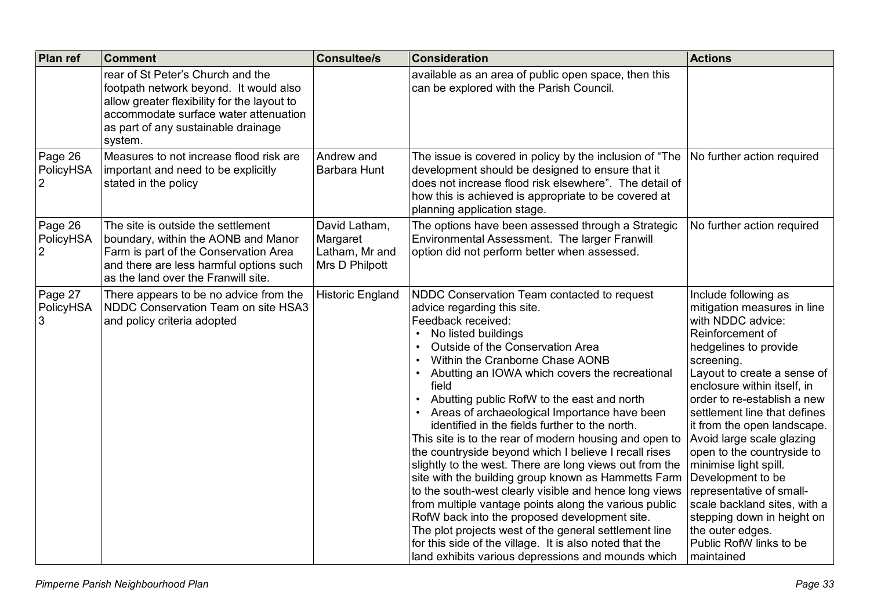| Plan ref                               | <b>Comment</b>                                                                                                                                                                                                        | <b>Consultee/s</b>                                            | <b>Consideration</b>                                                                                                                                                                                                                                                                                                                                                                                                                                                                                                                                                                                                                                                                                                                                                                                                                                                                                                                                                                         | <b>Actions</b>                                                                                                                                                                                                                                                                                                                                                                                                                                                                                                                                                  |
|----------------------------------------|-----------------------------------------------------------------------------------------------------------------------------------------------------------------------------------------------------------------------|---------------------------------------------------------------|----------------------------------------------------------------------------------------------------------------------------------------------------------------------------------------------------------------------------------------------------------------------------------------------------------------------------------------------------------------------------------------------------------------------------------------------------------------------------------------------------------------------------------------------------------------------------------------------------------------------------------------------------------------------------------------------------------------------------------------------------------------------------------------------------------------------------------------------------------------------------------------------------------------------------------------------------------------------------------------------|-----------------------------------------------------------------------------------------------------------------------------------------------------------------------------------------------------------------------------------------------------------------------------------------------------------------------------------------------------------------------------------------------------------------------------------------------------------------------------------------------------------------------------------------------------------------|
|                                        | rear of St Peter's Church and the<br>footpath network beyond. It would also<br>allow greater flexibility for the layout to<br>accommodate surface water attenuation<br>as part of any sustainable drainage<br>system. |                                                               | available as an area of public open space, then this<br>can be explored with the Parish Council.                                                                                                                                                                                                                                                                                                                                                                                                                                                                                                                                                                                                                                                                                                                                                                                                                                                                                             |                                                                                                                                                                                                                                                                                                                                                                                                                                                                                                                                                                 |
| Page 26<br>PolicyHSA                   | Measures to not increase flood risk are<br>important and need to be explicitly<br>stated in the policy                                                                                                                | Andrew and<br>Barbara Hunt                                    | The issue is covered in policy by the inclusion of "The<br>No further action required<br>development should be designed to ensure that it<br>does not increase flood risk elsewhere". The detail of<br>how this is achieved is appropriate to be covered at<br>planning application stage.                                                                                                                                                                                                                                                                                                                                                                                                                                                                                                                                                                                                                                                                                                   |                                                                                                                                                                                                                                                                                                                                                                                                                                                                                                                                                                 |
| Page 26<br>PolicyHSA<br>$\overline{2}$ | The site is outside the settlement<br>boundary, within the AONB and Manor<br>Farm is part of the Conservation Area<br>and there are less harmful options such<br>as the land over the Franwill site.                  | David Latham,<br>Margaret<br>Latham, Mr and<br>Mrs D Philpott | The options have been assessed through a Strategic<br>Environmental Assessment. The larger Franwill<br>option did not perform better when assessed.                                                                                                                                                                                                                                                                                                                                                                                                                                                                                                                                                                                                                                                                                                                                                                                                                                          | No further action required                                                                                                                                                                                                                                                                                                                                                                                                                                                                                                                                      |
| Page 27<br>PolicyHSA<br>3              | There appears to be no advice from the<br>NDDC Conservation Team on site HSA3<br>and policy criteria adopted                                                                                                          | <b>Historic England</b>                                       | NDDC Conservation Team contacted to request<br>advice regarding this site.<br>Feedback received:<br>No listed buildings<br>Outside of the Conservation Area<br>Within the Cranborne Chase AONB<br>Abutting an IOWA which covers the recreational<br>field<br>Abutting public RofW to the east and north<br>Areas of archaeological Importance have been<br>identified in the fields further to the north.<br>This site is to the rear of modern housing and open to<br>the countryside beyond which I believe I recall rises<br>slightly to the west. There are long views out from the<br>site with the building group known as Hammetts Farm<br>to the south-west clearly visible and hence long views<br>from multiple vantage points along the various public<br>RofW back into the proposed development site.<br>The plot projects west of the general settlement line<br>for this side of the village. It is also noted that the<br>land exhibits various depressions and mounds which | Include following as<br>mitigation measures in line<br>with NDDC advice:<br>Reinforcement of<br>hedgelines to provide<br>screening.<br>Layout to create a sense of<br>enclosure within itself, in<br>order to re-establish a new<br>settlement line that defines<br>it from the open landscape.<br>Avoid large scale glazing<br>open to the countryside to<br>minimise light spill.<br>Development to be<br>representative of small-<br>scale backland sites, with a<br>stepping down in height on<br>the outer edges.<br>Public RofW links to be<br>maintained |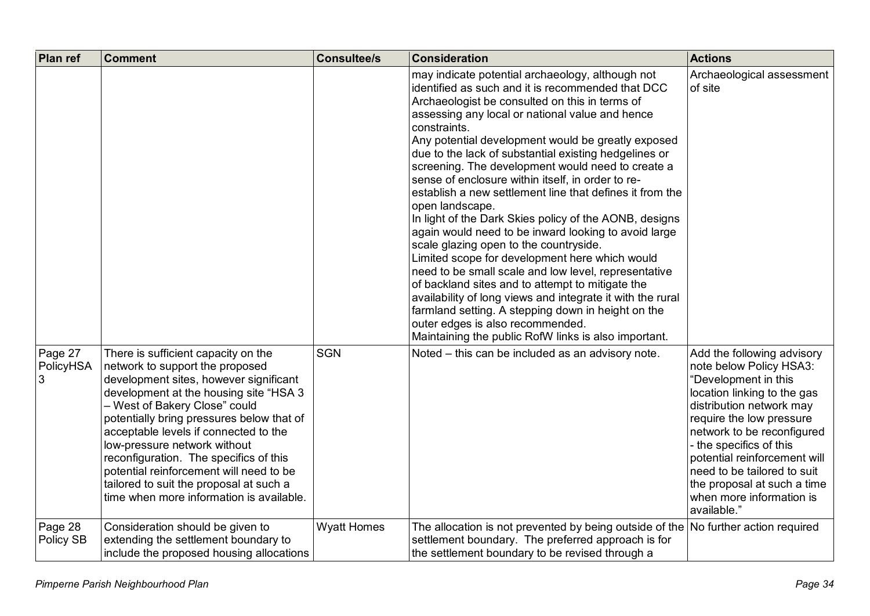| Plan ref                  | <b>Comment</b>                                                                                                                                                                                                                                                                                                                                                                                                                                                                                | <b>Consultee/s</b> | <b>Consideration</b>                                                                                                                                                                                                                                                                                                                                                                                                                                                                                                                                                                                                                                                                                                                                                                                                                                                                                                                                                                                                                                                         | <b>Actions</b>                                                                                                                                                                                                                                                                                                                                                         |
|---------------------------|-----------------------------------------------------------------------------------------------------------------------------------------------------------------------------------------------------------------------------------------------------------------------------------------------------------------------------------------------------------------------------------------------------------------------------------------------------------------------------------------------|--------------------|------------------------------------------------------------------------------------------------------------------------------------------------------------------------------------------------------------------------------------------------------------------------------------------------------------------------------------------------------------------------------------------------------------------------------------------------------------------------------------------------------------------------------------------------------------------------------------------------------------------------------------------------------------------------------------------------------------------------------------------------------------------------------------------------------------------------------------------------------------------------------------------------------------------------------------------------------------------------------------------------------------------------------------------------------------------------------|------------------------------------------------------------------------------------------------------------------------------------------------------------------------------------------------------------------------------------------------------------------------------------------------------------------------------------------------------------------------|
|                           |                                                                                                                                                                                                                                                                                                                                                                                                                                                                                               |                    | may indicate potential archaeology, although not<br>identified as such and it is recommended that DCC<br>Archaeologist be consulted on this in terms of<br>assessing any local or national value and hence<br>constraints.<br>Any potential development would be greatly exposed<br>due to the lack of substantial existing hedgelines or<br>screening. The development would need to create a<br>sense of enclosure within itself, in order to re-<br>establish a new settlement line that defines it from the<br>open landscape.<br>In light of the Dark Skies policy of the AONB, designs<br>again would need to be inward looking to avoid large<br>scale glazing open to the countryside.<br>Limited scope for development here which would<br>need to be small scale and low level, representative<br>of backland sites and to attempt to mitigate the<br>availability of long views and integrate it with the rural<br>farmland setting. A stepping down in height on the<br>outer edges is also recommended.<br>Maintaining the public RofW links is also important. | Archaeological assessment<br>of site                                                                                                                                                                                                                                                                                                                                   |
| Page 27<br>PolicyHSA<br>3 | There is sufficient capacity on the<br>network to support the proposed<br>development sites, however significant<br>development at the housing site "HSA 3<br>- West of Bakery Close" could<br>potentially bring pressures below that of<br>acceptable levels if connected to the<br>low-pressure network without<br>reconfiguration. The specifics of this<br>potential reinforcement will need to be<br>tailored to suit the proposal at such a<br>time when more information is available. | <b>SGN</b>         | Noted – this can be included as an advisory note.                                                                                                                                                                                                                                                                                                                                                                                                                                                                                                                                                                                                                                                                                                                                                                                                                                                                                                                                                                                                                            | Add the following advisory<br>note below Policy HSA3:<br>"Development in this<br>location linking to the gas<br>distribution network may<br>require the low pressure<br>network to be reconfigured<br>- the specifics of this<br>potential reinforcement will<br>need to be tailored to suit<br>the proposal at such a time<br>when more information is<br>available." |
| Page 28<br>Policy SB      | Consideration should be given to<br>extending the settlement boundary to<br>include the proposed housing allocations                                                                                                                                                                                                                                                                                                                                                                          | <b>Wyatt Homes</b> | The allocation is not prevented by being outside of the $\vert$ No further action required<br>settlement boundary. The preferred approach is for<br>the settlement boundary to be revised through a                                                                                                                                                                                                                                                                                                                                                                                                                                                                                                                                                                                                                                                                                                                                                                                                                                                                          |                                                                                                                                                                                                                                                                                                                                                                        |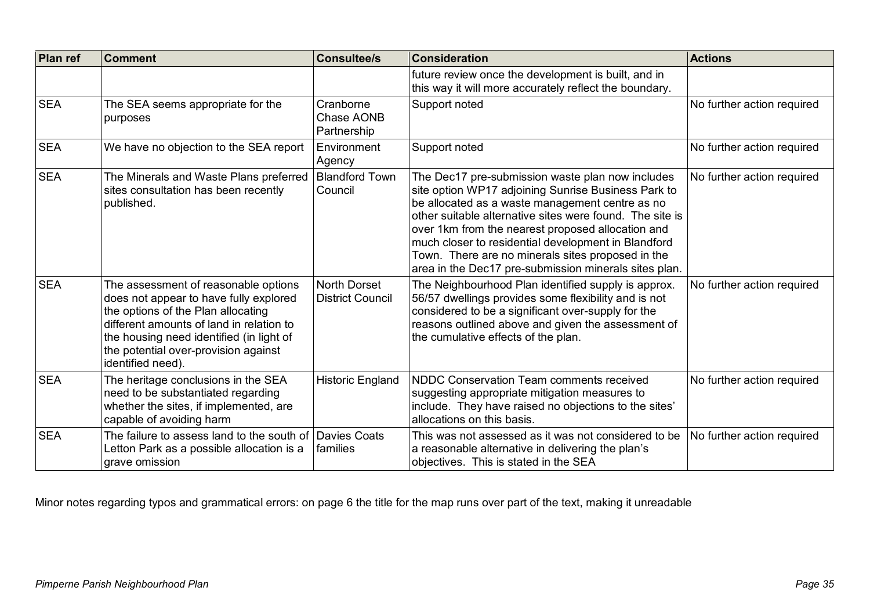| <b>Plan ref</b> | <b>Comment</b>                                                                                                                                                                                                                                                            | <b>Consultee/s</b>                      | <b>Consideration</b>                                                                                                                                                                                                                                                                                                                                                                                                                             | <b>Actions</b>             |
|-----------------|---------------------------------------------------------------------------------------------------------------------------------------------------------------------------------------------------------------------------------------------------------------------------|-----------------------------------------|--------------------------------------------------------------------------------------------------------------------------------------------------------------------------------------------------------------------------------------------------------------------------------------------------------------------------------------------------------------------------------------------------------------------------------------------------|----------------------------|
|                 |                                                                                                                                                                                                                                                                           |                                         | future review once the development is built, and in<br>this way it will more accurately reflect the boundary.                                                                                                                                                                                                                                                                                                                                    |                            |
| <b>SEA</b>      | The SEA seems appropriate for the<br>purposes                                                                                                                                                                                                                             | Cranborne<br>Chase AONB<br>Partnership  | Support noted                                                                                                                                                                                                                                                                                                                                                                                                                                    | No further action required |
| <b>SEA</b>      | We have no objection to the SEA report                                                                                                                                                                                                                                    | Environment<br>Agency                   | Support noted                                                                                                                                                                                                                                                                                                                                                                                                                                    | No further action required |
| <b>SEA</b>      | The Minerals and Waste Plans preferred<br>sites consultation has been recently<br>published.                                                                                                                                                                              | <b>Blandford Town</b><br>Council        | The Dec17 pre-submission waste plan now includes<br>site option WP17 adjoining Sunrise Business Park to<br>be allocated as a waste management centre as no<br>other suitable alternative sites were found. The site is<br>over 1km from the nearest proposed allocation and<br>much closer to residential development in Blandford<br>Town. There are no minerals sites proposed in the<br>area in the Dec17 pre-submission minerals sites plan. | No further action required |
| <b>SEA</b>      | The assessment of reasonable options<br>does not appear to have fully explored<br>the options of the Plan allocating<br>different amounts of land in relation to<br>the housing need identified (in light of<br>the potential over-provision against<br>identified need). | North Dorset<br><b>District Council</b> | The Neighbourhood Plan identified supply is approx.<br>56/57 dwellings provides some flexibility and is not<br>considered to be a significant over-supply for the<br>reasons outlined above and given the assessment of<br>the cumulative effects of the plan.                                                                                                                                                                                   | No further action required |
| <b>SEA</b>      | The heritage conclusions in the SEA<br>need to be substantiated regarding<br>whether the sites, if implemented, are<br>capable of avoiding harm                                                                                                                           | <b>Historic England</b>                 | NDDC Conservation Team comments received<br>suggesting appropriate mitigation measures to<br>include. They have raised no objections to the sites'<br>allocations on this basis.                                                                                                                                                                                                                                                                 | No further action required |
| <b>SEA</b>      | The failure to assess land to the south of Davies Coats<br>Letton Park as a possible allocation is a<br>grave omission                                                                                                                                                    | families                                | This was not assessed as it was not considered to be<br>a reasonable alternative in delivering the plan's<br>objectives. This is stated in the SEA                                                                                                                                                                                                                                                                                               | No further action required |

Minor notes regarding typos and grammatical errors: on page 6 the title for the map runs over part of the text, making it unreadable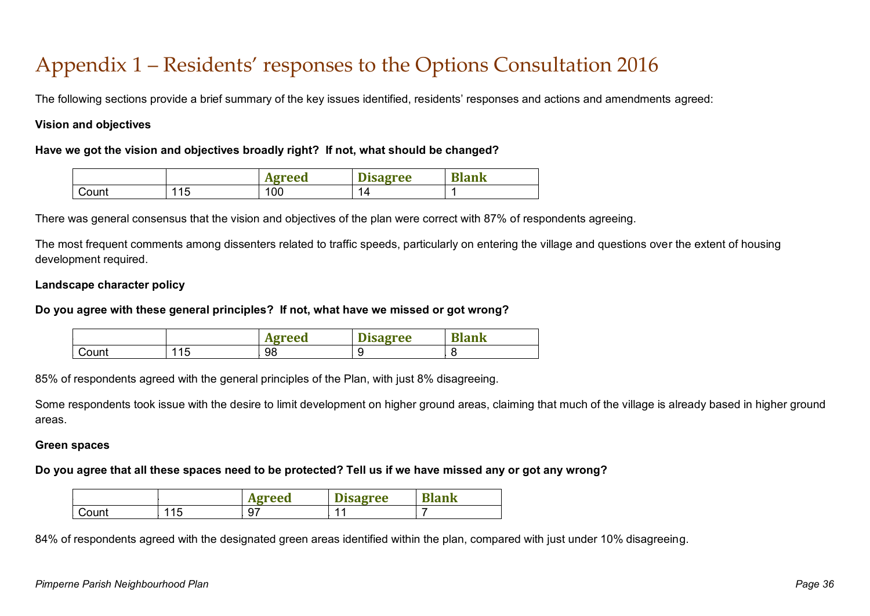## Appendix 1 – Residents' responses to the Options Consultation 2016

The following sections provide a brief summary of the key issues identified, residents' responses and actions and amendments agreed:

#### **Vision and objectives**

#### **Have we got the vision and objectives broadly right? If not, what should be changed?**

|       |          | greed<br>A2I | --<br><b>isagree</b><br>іэа | D<br>nn I<br>шĸ |
|-------|----------|--------------|-----------------------------|-----------------|
| Count | 15<br>ี∪ | 100          | 14                          |                 |

There was general consensus that the vision and objectives of the plan were correct with 87% of respondents agreeing.

The most frequent comments among dissenters related to traffic speeds, particularly on entering the village and questions over the extent of housing development required.

#### **Landscape character policy**

#### **Do you agree with these general principles? If not, what have we missed or got wrong?**

|       |          | greed<br>A2' | <b>sagree</b> | <b>TAT</b><br>ank |
|-------|----------|--------------|---------------|-------------------|
| Count | 115<br>◡ | 98           |               |                   |

85% of respondents agreed with the general principles of the Plan, with just 8% disagreeing.

Some respondents took issue with the desire to limit development on higher ground areas, claiming that much of the village is already based in higher ground areas.

#### **Green spaces**

#### **Do you agree that all these spaces need to be protected? Tell us if we have missed any or got any wrong?**

|            |            | greed<br>ачг | $\sim$<br><b>Disagree</b> | T.<br>Blank |
|------------|------------|--------------|---------------------------|-------------|
| ∽<br>Count | 115<br>1 J | , ש          |                           |             |

84% of respondents agreed with the designated green areas identified within the plan, compared with just under 10% disagreeing.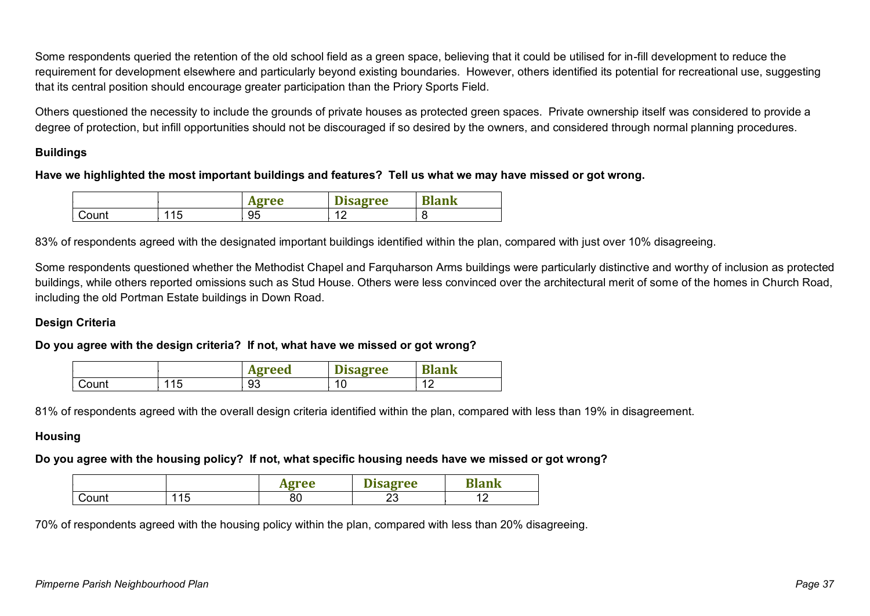Some respondents queried the retention of the old school field as a green space, believing that it could be utilised for in-fill development to reduce the requirement for development elsewhere and particularly beyond existing boundaries. However, others identified its potential for recreational use, suggesting that its central position should encourage greater participation than the Priory Sports Field.

Others questioned the necessity to include the grounds of private houses as protected green spaces. Private ownership itself was considered to provide a degree of protection, but infill opportunities should not be discouraged if so desired by the owners, and considered through normal planning procedures.

#### **Buildings**

#### **Have we highlighted the most important buildings and features? Tell us what we may have missed or got wrong.**

|       |            | gree<br>A2I | --<br><b>Disagree</b> | $\mathbf{m}$<br><b>Hank</b> |
|-------|------------|-------------|-----------------------|-----------------------------|
| Count | 115<br>1 J | 95          | $\sim$                | τ.                          |

83% of respondents agreed with the designated important buildings identified within the plan, compared with just over 10% disagreeing.

Some respondents questioned whether the Methodist Chapel and Farquharson Arms buildings were particularly distinctive and worthy of inclusion as protected buildings, while others reported omissions such as Stud House. Others were less convinced over the architectural merit of some of the homes in Church Road, including the old Portman Estate buildings in Down Road.

#### **Design Criteria**

#### **Do you agree with the design criteria? If not, what have we missed or got wrong?**

|       |           | greed<br>A2J | m:<br><b>Disagree</b> | <b>TAI</b><br>Nank |
|-------|-----------|--------------|-----------------------|--------------------|
| Count | 115<br>∪ו | 93           | $-1c$<br>1 V          | $\sim$             |

81% of respondents agreed with the overall design criteria identified within the plan, compared with less than 19% in disagreement.

#### **Housing**

#### **Do you agree with the housing policy? If not, what specific housing needs have we missed or got wrong?**

|             |     | Traa      | –<br>TAA    | . .<br>Шi |  |
|-------------|-----|-----------|-------------|-----------|--|
| ount:<br>., | ' ~ | or.<br>οU | o<br>$\sim$ |           |  |

70% of respondents agreed with the housing policy within the plan, compared with less than 20% disagreeing.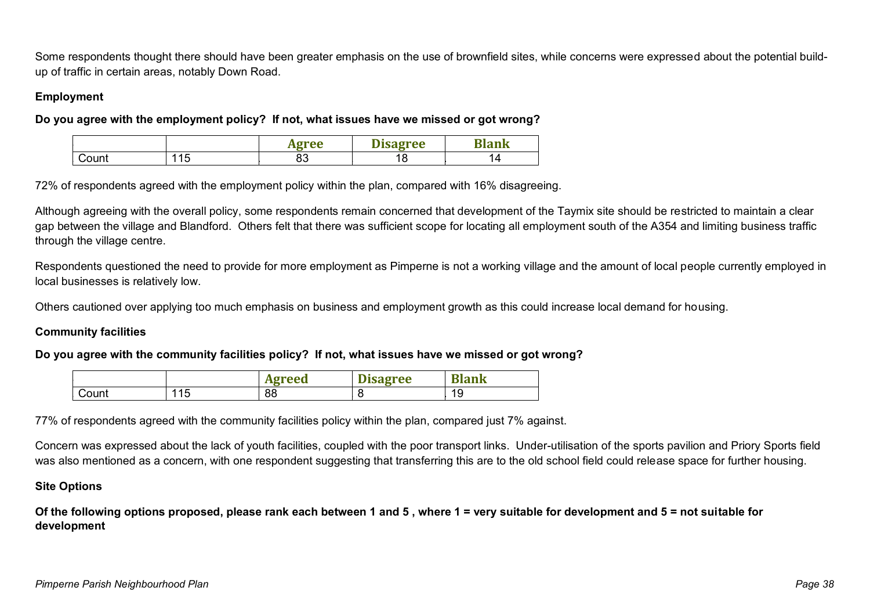Some respondents thought there should have been greater emphasis on the use of brownfield sites, while concerns were expressed about the potential buildup of traffic in certain areas, notably Down Road.

#### **Employment**

**Do you agree with the employment policy? If not, what issues have we missed or got wrong?**

|  |     | -- |          | $\overline{\phantom{a}}$ |
|--|-----|----|----------|--------------------------|
|  | . . | uJ | -<br>1 O |                          |

72% of respondents agreed with the employment policy within the plan, compared with 16% disagreeing.

Although agreeing with the overall policy, some respondents remain concerned that development of the Taymix site should be restricted to maintain a clear gap between the village and Blandford. Others felt that there was sufficient scope for locating all employment south of the A354 and limiting business traffic through the village centre.

Respondents questioned the need to provide for more employment as Pimperne is not a working village and the amount of local people currently employed in local businesses is relatively low.

Others cautioned over applying too much emphasis on business and employment growth as this could increase local demand for housing.

#### **Community facilities**

#### **Do you agree with the community facilities policy? If not, what issues have we missed or got wrong?**

|       |    | ๛๛<br>. . | <b>The Real</b><br>Tee<br><u>יטגע</u> | $\overline{\phantom{a}}$ |
|-------|----|-----------|---------------------------------------|--------------------------|
| `ount | ∟י | 88        |                                       | 19                       |

77% of respondents agreed with the community facilities policy within the plan, compared just 7% against.

Concern was expressed about the lack of youth facilities, coupled with the poor transport links. Under-utilisation of the sports pavilion and Priory Sports field was also mentioned as a concern, with one respondent suggesting that transferring this are to the old school field could release space for further housing.

#### **Site Options**

**Of the following options proposed, please rank each between 1 and 5 , where 1 = very suitable for development and 5 = not suitable for development**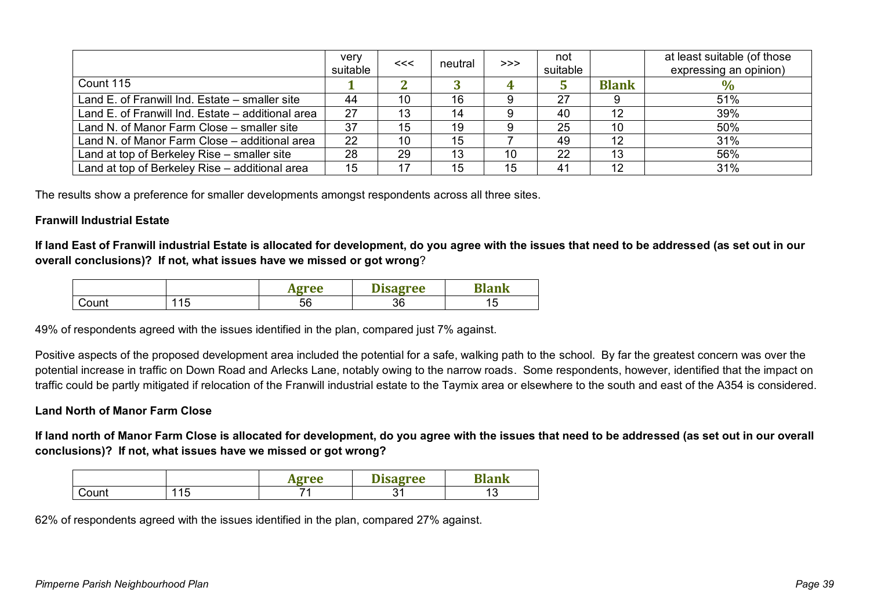|                                                   | very<br>suitable | << | neutral | >> | not<br>suitable |              | at least suitable (of those<br>expressing an opinion) |
|---------------------------------------------------|------------------|----|---------|----|-----------------|--------------|-------------------------------------------------------|
| Count 115                                         |                  |    |         |    |                 | <b>Blank</b> | $\%$                                                  |
| Land E. of Franwill Ind. Estate – smaller site    | 44               | 10 | 16      |    | 27              |              | 51%                                                   |
| Land E. of Franwill Ind. Estate – additional area | 27               | 13 | 14      |    | 40              | 12           | 39%                                                   |
| Land N. of Manor Farm Close – smaller site        | 37               | 15 | 19      |    | 25              | 10           | 50%                                                   |
| Land N. of Manor Farm Close - additional area     | 22               | 10 | 15      |    | 49              | 12           | 31%                                                   |
| Land at top of Berkeley Rise – smaller site       | 28               | 29 | 13      | 10 | 22              | 13           | 56%                                                   |
| Land at top of Berkeley Rise - additional area    | 15               | 17 | 15      | 15 | 41              | 12           | 31%                                                   |

The results show a preference for smaller developments amongst respondents across all three sites.

#### **Franwill Industrial Estate**

**If land East of Franwill industrial Estate is allocated for development, do you agree with the issues that need to be addressed (as set out in our overall conclusions)? If not, what issues have we missed or got wrong**?

|       |           | gree<br><b>ALL</b> | --<br><i><b>isagree</b></i> | $\sim$ $\sim$ |
|-------|-----------|--------------------|-----------------------------|---------------|
| Count | 115<br>ี∪ | 56                 | 36                          | ັ             |

49% of respondents agreed with the issues identified in the plan, compared just 7% against.

Positive aspects of the proposed development area included the potential for a safe, walking path to the school. By far the greatest concern was over the potential increase in traffic on Down Road and Arlecks Lane, notably owing to the narrow roads. Some respondents, however, identified that the impact on traffic could be partly mitigated if relocation of the Franwill industrial estate to the Taymix area or elsewhere to the south and east of the A354 is considered.

#### **Land North of Manor Farm Close**

**If land north of Manor Farm Close is allocated for development, do you agree with the issues that need to be addressed (as set out in our overall conclusions)? If not, what issues have we missed or got wrong?**

|       |                       | <b>Traa</b><br>ne<br>--- | --<br>sagree | $   -$<br>IN |
|-------|-----------------------|--------------------------|--------------|--------------|
| Count | $\overline{ }$<br>ں ا |                          | n.<br>ັັ     | ັ            |

62% of respondents agreed with the issues identified in the plan, compared 27% against.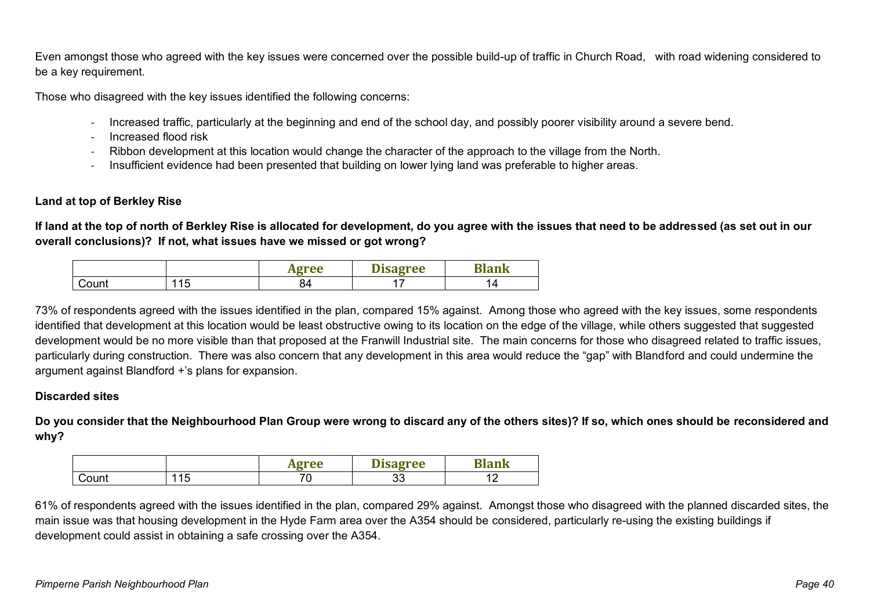Even amongst those who agreed with the key issues were concerned over the possible build-up of traffic in Church Road, with road widening considered to be a key requirement.

Those who disagreed with the key issues identified the following concerns:

- Increased traffic, particularly at the beginning and end of the school day, and possibly poorer visibility around a severe bend.
- Increased flood risk
- Ribbon development at this location would change the character of the approach to the village from the North.
- Insufficient evidence had been presented that building on lower lying land was preferable to higher areas.

### **Land at top of Berkley Rise**

**If land at the top of north of Berkley Rise is allocated for development, do you agree with the issues that need to be addressed (as set out in our overall conclusions)? If not, what issues have we missed or got wrong?**

|       |           | Tee<br>4 E | - -<br>gree | m. |
|-------|-----------|------------|-------------|----|
| Count | 11F<br>╵┙ | 04         |             | ↤  |

73% of respondents agreed with the issues identified in the plan, compared 15% against. Among those who agreed with the key issues, some respondents identified that development at this location would be least obstructive owing to its location on the edge of the village, while others suggested that suggested development would be no more visible than that proposed at the Franwill Industrial site. The main concerns for those who disagreed related to traffic issues, particularly during construction. There was also concern that any development in this area would reduce the "gap" with Blandford and could undermine the argument against Blandford +'s plans for expansion.

#### **Discarded sites**

**Do you consider that the Neighbourhood Plan Group were wrong to discard any of the others sites)? If so, which ones should be reconsidered and why?**

|       |     | gree    | $\sim$<br><b>Isagree</b> | m<br>ank      |
|-------|-----|---------|--------------------------|---------------|
| Count | 115 | ¬∼<br>∼ | n n<br>ິ                 | $\sim$<br>. . |

61% of respondents agreed with the issues identified in the plan, compared 29% against. Amongst those who disagreed with the planned discarded sites, the main issue was that housing development in the Hyde Farm area over the A354 should be considered, particularly re-using the existing buildings if development could assist in obtaining a safe crossing over the A354.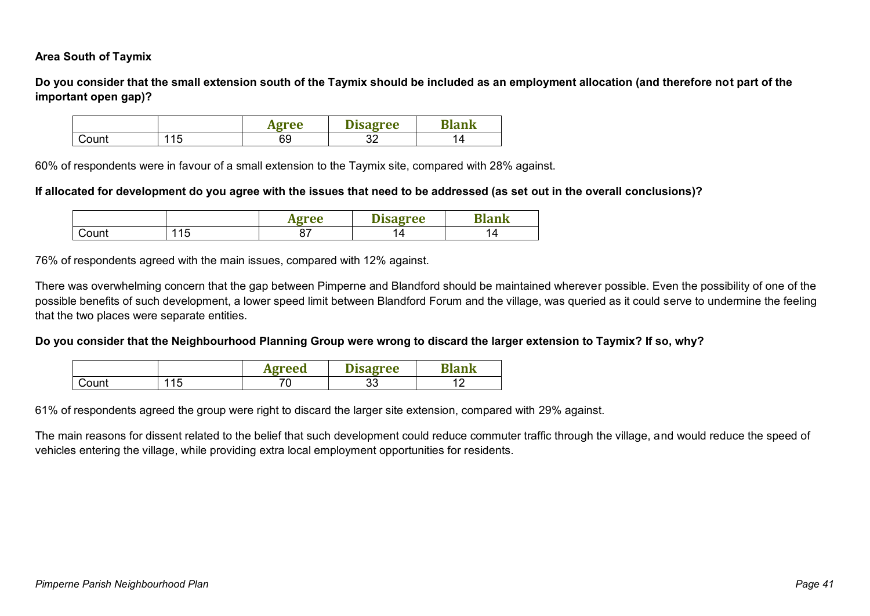#### **Area South of Taymix**

**Do you consider that the small extension south of the Taymix should be included as an employment allocation (and therefore not part of the important open gap)?**

|       |               | Agree | --<br><b>Disagree</b> | ank |
|-------|---------------|-------|-----------------------|-----|
| Count | 1 E<br>◢<br>┙ | 69    | n r<br>ັ້             |     |

60% of respondents were in favour of a small extension to the Taymix site, compared with 28% against.

#### **If allocated for development do you agree with the issues that need to be addressed (as set out in the overall conclusions)?**

|       |   | $\sim$ $\sim$ $\sim$ | pree |   |
|-------|---|----------------------|------|---|
| Count | ັ |                      |      | 4 |

76% of respondents agreed with the main issues, compared with 12% against.

There was overwhelming concern that the gap between Pimperne and Blandford should be maintained wherever possible. Even the possibility of one of the possible benefits of such development, a lower speed limit between Blandford Forum and the village, was queried as it could serve to undermine the feeling that the two places were separate entities.

#### **Do you consider that the Neighbourhood Planning Group were wrong to discard the larger extension to Taymix? If so, why?**

|       |                | <b>Agreed</b> | Disagree       | a an am Bro |
|-------|----------------|---------------|----------------|-------------|
| Count | 15<br>-<br>1 V | - -           | <u>_</u><br>Uu |             |

61% of respondents agreed the group were right to discard the larger site extension, compared with 29% against.

The main reasons for dissent related to the belief that such development could reduce commuter traffic through the village, and would reduce the speed of vehicles entering the village, while providing extra local employment opportunities for residents.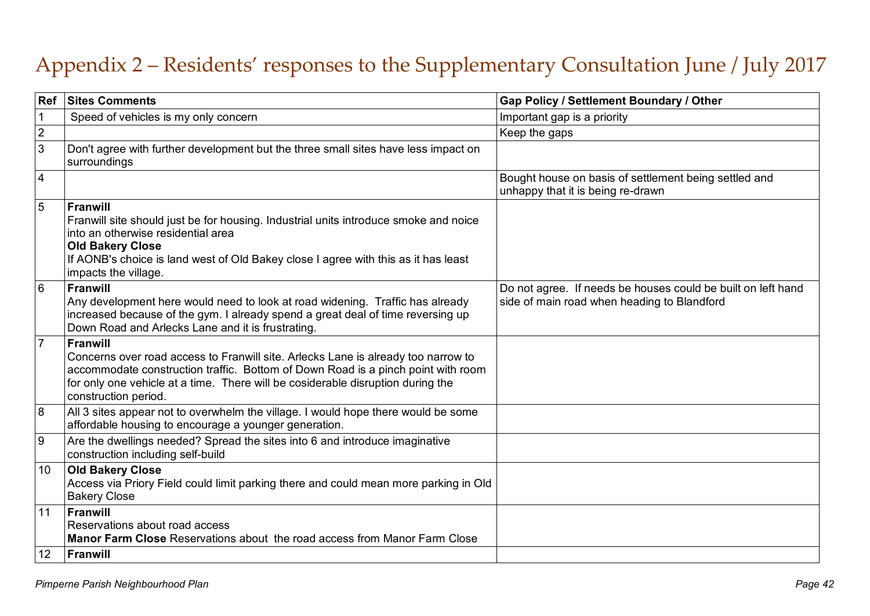## Appendix 2 – Residents' responses to the Supplementary Consultation June / July 2017

| <b>Ref</b>              | <b>Sites Comments</b>                                                                                                                                                                                                                                                                               | Gap Policy / Settlement Boundary / Other                                                                    |
|-------------------------|-----------------------------------------------------------------------------------------------------------------------------------------------------------------------------------------------------------------------------------------------------------------------------------------------------|-------------------------------------------------------------------------------------------------------------|
| $\mathbf 1$             | Speed of vehicles is my only concern                                                                                                                                                                                                                                                                | Important gap is a priority                                                                                 |
| $\overline{2}$          |                                                                                                                                                                                                                                                                                                     | Keep the gaps                                                                                               |
| $\mathbf{3}$            | Don't agree with further development but the three small sites have less impact on<br>surroundings                                                                                                                                                                                                  |                                                                                                             |
| $\overline{\mathbf{4}}$ |                                                                                                                                                                                                                                                                                                     | Bought house on basis of settlement being settled and<br>unhappy that it is being re-drawn                  |
| $\overline{5}$          | <b>Franwill</b><br>Franwill site should just be for housing. Industrial units introduce smoke and noice<br>into an otherwise residential area<br><b>Old Bakery Close</b><br>If AONB's choice is land west of Old Bakey close I agree with this as it has least<br>impacts the village.              |                                                                                                             |
| 6                       | <b>Franwill</b><br>Any development here would need to look at road widening. Traffic has already<br>increased because of the gym. I already spend a great deal of time reversing up<br>Down Road and Arlecks Lane and it is frustrating.                                                            | Do not agree. If needs be houses could be built on left hand<br>side of main road when heading to Blandford |
| $\overline{7}$          | <b>Franwill</b><br>Concerns over road access to Franwill site. Arlecks Lane is already too narrow to<br>accommodate construction traffic. Bottom of Down Road is a pinch point with room<br>for only one vehicle at a time. There will be cosiderable disruption during the<br>construction period. |                                                                                                             |
| $\boldsymbol{8}$        | All 3 sites appear not to overwhelm the village. I would hope there would be some<br>affordable housing to encourage a younger generation.                                                                                                                                                          |                                                                                                             |
| 9                       | Are the dwellings needed? Spread the sites into 6 and introduce imaginative<br>construction including self-build                                                                                                                                                                                    |                                                                                                             |
| 10                      | <b>Old Bakery Close</b><br>Access via Priory Field could limit parking there and could mean more parking in Old<br><b>Bakery Close</b>                                                                                                                                                              |                                                                                                             |
| 11                      | Franwill<br>Reservations about road access<br>Manor Farm Close Reservations about the road access from Manor Farm Close                                                                                                                                                                             |                                                                                                             |
| 12                      | Franwill                                                                                                                                                                                                                                                                                            |                                                                                                             |